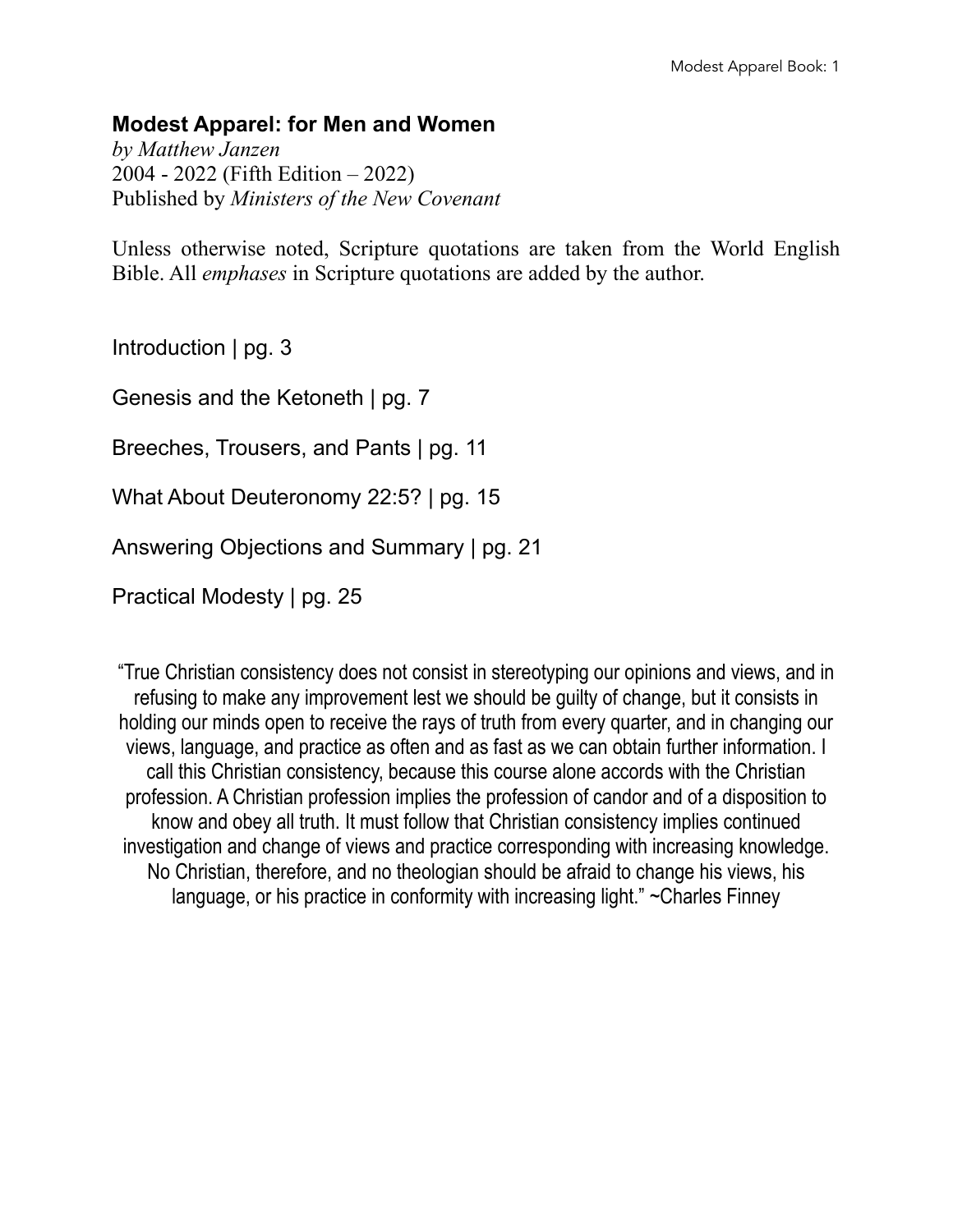#### **Modest Apparel: for Men and Women**

*by Matthew Janzen* 2004 - 2022 (Fifth Edition – 2022) Published by *Ministers of the New Covenant*

Unless otherwise noted, Scripture quotations are taken from the World English Bible. All *emphases* in Scripture quotations are added by the author.

Introduction | pg. 3

Genesis and the Ketoneth | pg. 7

Breeches, Trousers, and Pants | pg. 11

What About Deuteronomy 22:5? | pg. 15

Answering Objections and Summary | pg. 21

Practical Modesty | pg. 25

"True Christian consistency does not consist in stereotyping our opinions and views, and in refusing to make any improvement lest we should be guilty of change, but it consists in holding our minds open to receive the rays of truth from every quarter, and in changing our views, language, and practice as often and as fast as we can obtain further information. I call this Christian consistency, because this course alone accords with the Christian profession. A Christian profession implies the profession of candor and of a disposition to know and obey all truth. It must follow that Christian consistency implies continued investigation and change of views and practice corresponding with increasing knowledge. No Christian, therefore, and no theologian should be afraid to change his views, his language, or his practice in conformity with increasing light." ~Charles Finney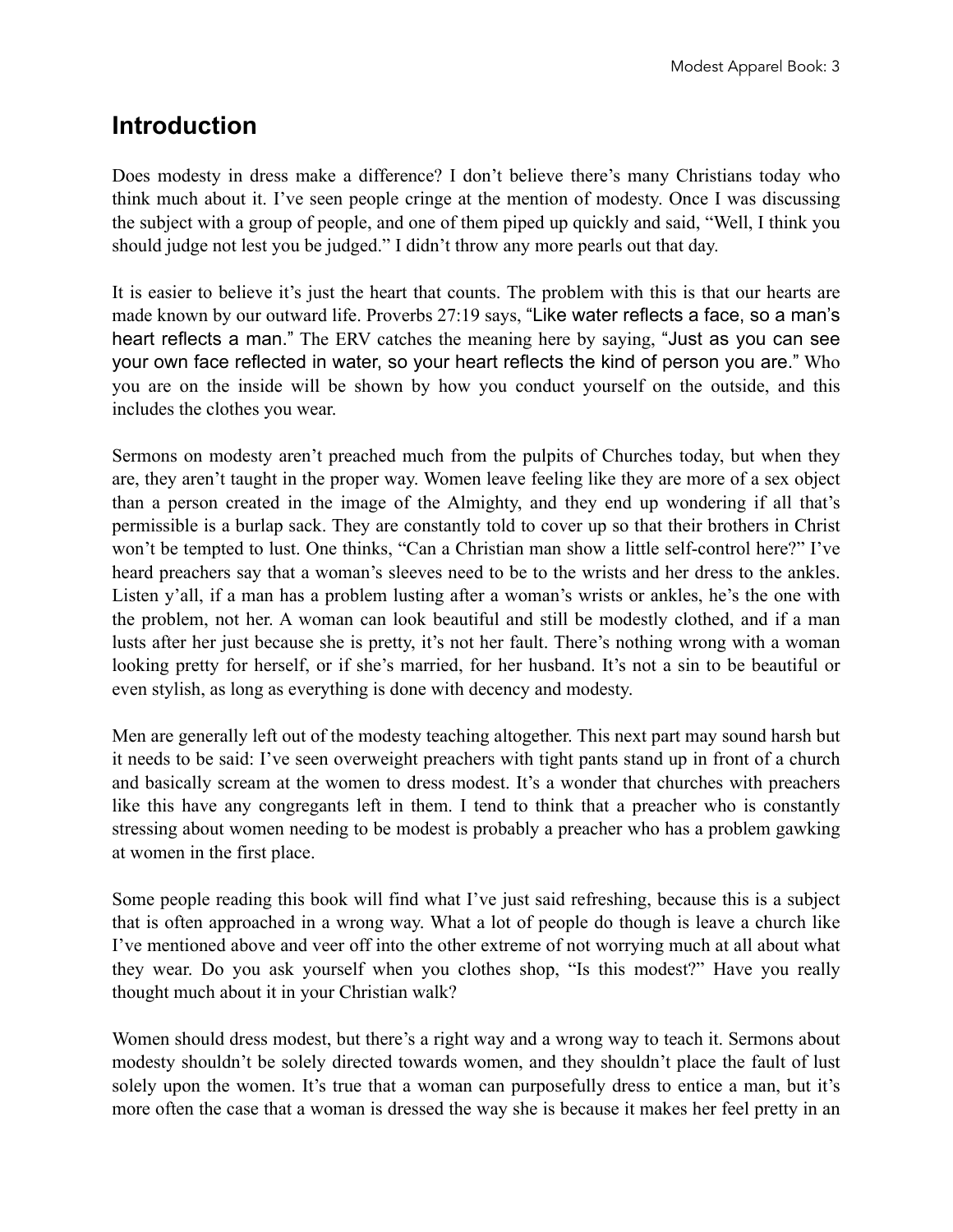#### **Introduction**

Does modesty in dress make a difference? I don't believe there's many Christians today who think much about it. I've seen people cringe at the mention of modesty. Once I was discussing the subject with a group of people, and one of them piped up quickly and said, "Well, I think you should judge not lest you be judged." I didn't throw any more pearls out that day.

It is easier to believe it's just the heart that counts. The problem with this is that our hearts are made known by our outward life. Proverbs 27:19 says, "Like water reflects a face, so a man's heart reflects a man." The ERV catches the meaning here by saying, "Just as you can see your own face reflected in water, so your heart reflects the kind of person you are." Who you are on the inside will be shown by how you conduct yourself on the outside, and this includes the clothes you wear.

Sermons on modesty aren't preached much from the pulpits of Churches today, but when they are, they aren't taught in the proper way. Women leave feeling like they are more of a sex object than a person created in the image of the Almighty, and they end up wondering if all that's permissible is a burlap sack. They are constantly told to cover up so that their brothers in Christ won't be tempted to lust. One thinks, "Can a Christian man show a little self-control here?" I've heard preachers say that a woman's sleeves need to be to the wrists and her dress to the ankles. Listen y'all, if a man has a problem lusting after a woman's wrists or ankles, he's the one with the problem, not her. A woman can look beautiful and still be modestly clothed, and if a man lusts after her just because she is pretty, it's not her fault. There's nothing wrong with a woman looking pretty for herself, or if she's married, for her husband. It's not a sin to be beautiful or even stylish, as long as everything is done with decency and modesty.

Men are generally left out of the modesty teaching altogether. This next part may sound harsh but it needs to be said: I've seen overweight preachers with tight pants stand up in front of a church and basically scream at the women to dress modest. It's a wonder that churches with preachers like this have any congregants left in them. I tend to think that a preacher who is constantly stressing about women needing to be modest is probably a preacher who has a problem gawking at women in the first place.

Some people reading this book will find what I've just said refreshing, because this is a subject that is often approached in a wrong way. What a lot of people do though is leave a church like I've mentioned above and veer off into the other extreme of not worrying much at all about what they wear. Do you ask yourself when you clothes shop, "Is this modest?" Have you really thought much about it in your Christian walk?

Women should dress modest, but there's a right way and a wrong way to teach it. Sermons about modesty shouldn't be solely directed towards women, and they shouldn't place the fault of lust solely upon the women. It's true that a woman can purposefully dress to entice a man, but it's more often the case that a woman is dressed the way she is because it makes her feel pretty in an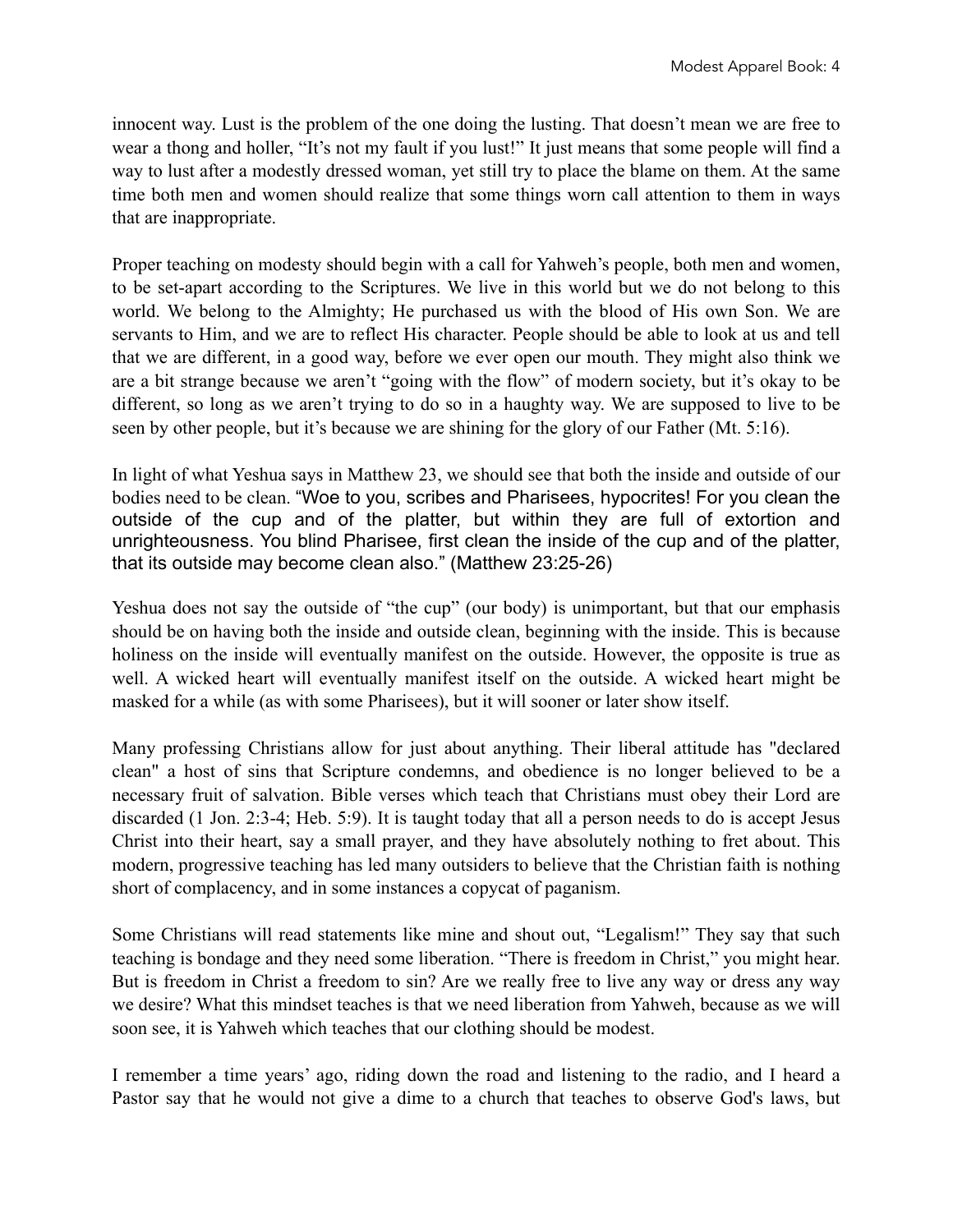innocent way. Lust is the problem of the one doing the lusting. That doesn't mean we are free to wear a thong and holler, "It's not my fault if you lust!" It just means that some people will find a way to lust after a modestly dressed woman, yet still try to place the blame on them. At the same time both men and women should realize that some things worn call attention to them in ways that are inappropriate.

Proper teaching on modesty should begin with a call for Yahweh's people, both men and women, to be set-apart according to the Scriptures. We live in this world but we do not belong to this world. We belong to the Almighty; He purchased us with the blood of His own Son. We are servants to Him, and we are to reflect His character. People should be able to look at us and tell that we are different, in a good way, before we ever open our mouth. They might also think we are a bit strange because we aren't "going with the flow" of modern society, but it's okay to be different, so long as we aren't trying to do so in a haughty way. We are supposed to live to be seen by other people, but it's because we are shining for the glory of our Father (Mt. 5:16).

In light of what Yeshua says in Matthew 23, we should see that both the inside and outside of our bodies need to be clean. "Woe to you, scribes and Pharisees, hypocrites! For you clean the outside of the cup and of the platter, but within they are full of extortion and unrighteousness. You blind Pharisee, first clean the inside of the cup and of the platter, that its outside may become clean also." (Matthew 23:25-26)

Yeshua does not say the outside of "the cup" (our body) is unimportant, but that our emphasis should be on having both the inside and outside clean, beginning with the inside. This is because holiness on the inside will eventually manifest on the outside. However, the opposite is true as well. A wicked heart will eventually manifest itself on the outside. A wicked heart might be masked for a while (as with some Pharisees), but it will sooner or later show itself.

Many professing Christians allow for just about anything. Their liberal attitude has "declared clean" a host of sins that Scripture condemns, and obedience is no longer believed to be a necessary fruit of salvation. Bible verses which teach that Christians must obey their Lord are discarded (1 Jon. 2:3-4; Heb. 5:9). It is taught today that all a person needs to do is accept Jesus Christ into their heart, say a small prayer, and they have absolutely nothing to fret about. This modern, progressive teaching has led many outsiders to believe that the Christian faith is nothing short of complacency, and in some instances a copycat of paganism.

Some Christians will read statements like mine and shout out, "Legalism!" They say that such teaching is bondage and they need some liberation. "There is freedom in Christ," you might hear. But is freedom in Christ a freedom to sin? Are we really free to live any way or dress any way we desire? What this mindset teaches is that we need liberation from Yahweh, because as we will soon see, it is Yahweh which teaches that our clothing should be modest.

I remember a time years' ago, riding down the road and listening to the radio, and I heard a Pastor say that he would not give a dime to a church that teaches to observe God's laws, but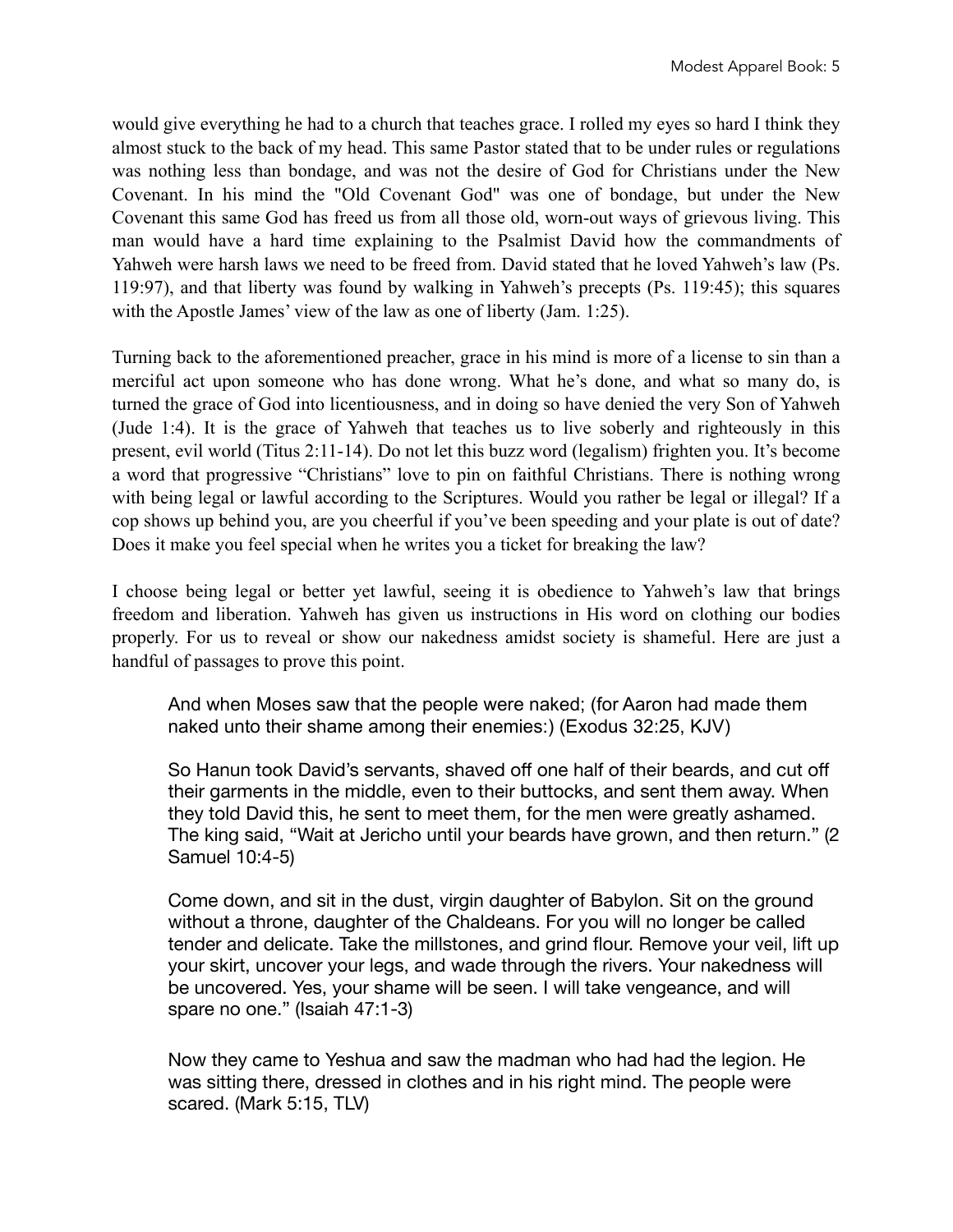would give everything he had to a church that teaches grace. I rolled my eyes so hard I think they almost stuck to the back of my head. This same Pastor stated that to be under rules or regulations was nothing less than bondage, and was not the desire of God for Christians under the New Covenant. In his mind the "Old Covenant God" was one of bondage, but under the New Covenant this same God has freed us from all those old, worn-out ways of grievous living. This man would have a hard time explaining to the Psalmist David how the commandments of Yahweh were harsh laws we need to be freed from. David stated that he loved Yahweh's law (Ps. 119:97), and that liberty was found by walking in Yahweh's precepts (Ps. 119:45); this squares with the Apostle James' view of the law as one of liberty (Jam. 1:25).

Turning back to the aforementioned preacher, grace in his mind is more of a license to sin than a merciful act upon someone who has done wrong. What he's done, and what so many do, is turned the grace of God into licentiousness, and in doing so have denied the very Son of Yahweh (Jude 1:4). It is the grace of Yahweh that teaches us to live soberly and righteously in this present, evil world (Titus 2:11-14). Do not let this buzz word (legalism) frighten you. It's become a word that progressive "Christians" love to pin on faithful Christians. There is nothing wrong with being legal or lawful according to the Scriptures. Would you rather be legal or illegal? If a cop shows up behind you, are you cheerful if you've been speeding and your plate is out of date? Does it make you feel special when he writes you a ticket for breaking the law?

I choose being legal or better yet lawful, seeing it is obedience to Yahweh's law that brings freedom and liberation. Yahweh has given us instructions in His word on clothing our bodies properly. For us to reveal or show our nakedness amidst society is shameful. Here are just a handful of passages to prove this point.

And when Moses saw that the people were naked; (for Aaron had made them naked unto their shame among their enemies:) (Exodus 32:25, KJV)

So Hanun took David's servants, shaved off one half of their beards, and cut off their garments in the middle, even to their buttocks, and sent them away. When they told David this, he sent to meet them, for the men were greatly ashamed. The king said, "Wait at Jericho until your beards have grown, and then return." (2 Samuel 10:4-5)

Come down, and sit in the dust, virgin daughter of Babylon. Sit on the ground without a throne, daughter of the Chaldeans. For you will no longer be called tender and delicate. Take the millstones, and grind flour. Remove your veil, lift up your skirt, uncover your legs, and wade through the rivers. Your nakedness will be uncovered. Yes, your shame will be seen. I will take vengeance, and will spare no one." (Isaiah 47:1-3)

Now they came to Yeshua and saw the madman who had had the legion. He was sitting there, dressed in clothes and in his right mind. The people were scared. (Mark 5:15, TLV)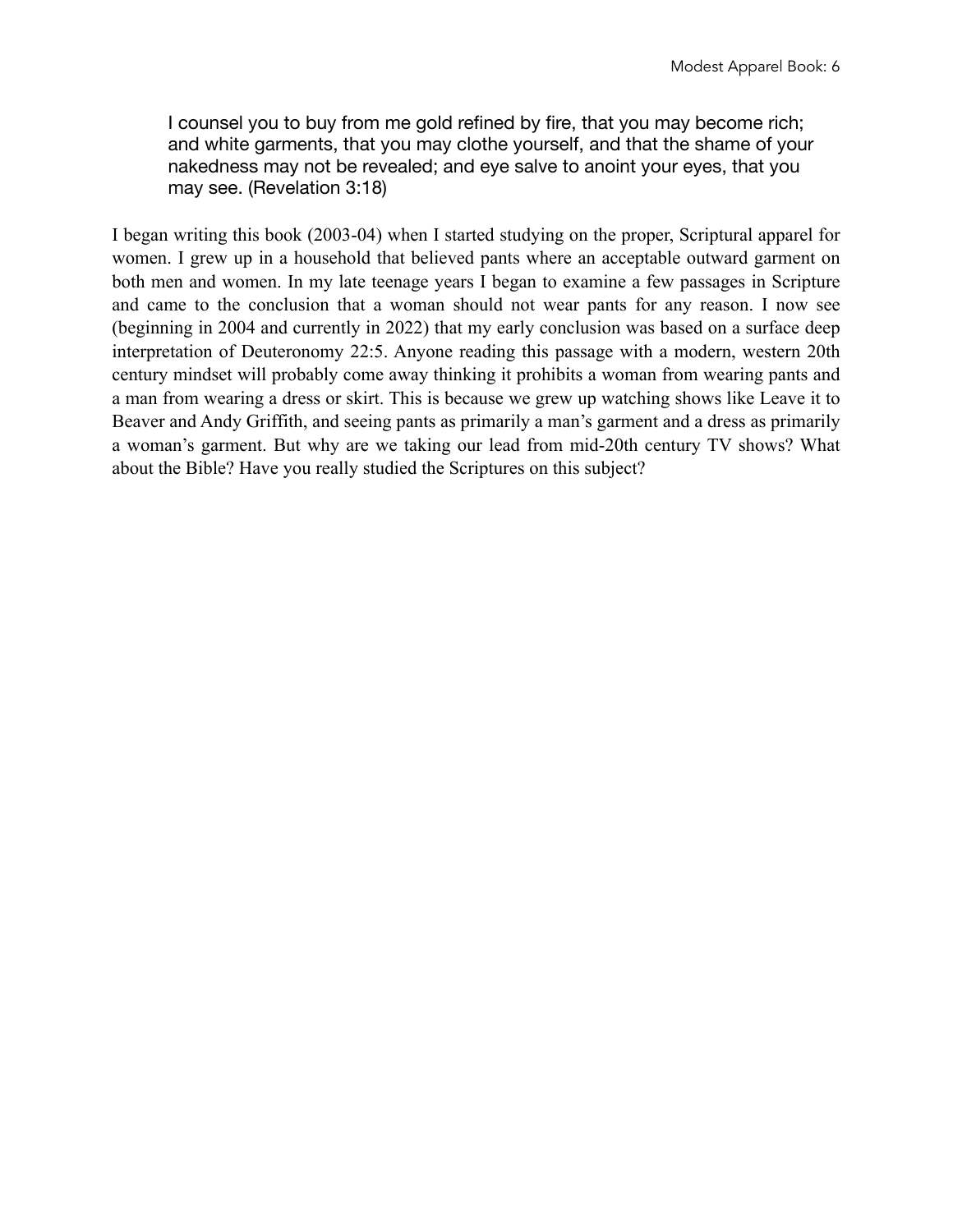I counsel you to buy from me gold refined by fire, that you may become rich; and white garments, that you may clothe yourself, and that the shame of your nakedness may not be revealed; and eye salve to anoint your eyes, that you may see. (Revelation 3:18)

I began writing this book (2003-04) when I started studying on the proper, Scriptural apparel for women. I grew up in a household that believed pants where an acceptable outward garment on both men and women. In my late teenage years I began to examine a few passages in Scripture and came to the conclusion that a woman should not wear pants for any reason. I now see (beginning in 2004 and currently in 2022) that my early conclusion was based on a surface deep interpretation of Deuteronomy 22:5. Anyone reading this passage with a modern, western 20th century mindset will probably come away thinking it prohibits a woman from wearing pants and a man from wearing a dress or skirt. This is because we grew up watching shows like Leave it to Beaver and Andy Griffith, and seeing pants as primarily a man's garment and a dress as primarily a woman's garment. But why are we taking our lead from mid-20th century TV shows? What about the Bible? Have you really studied the Scriptures on this subject?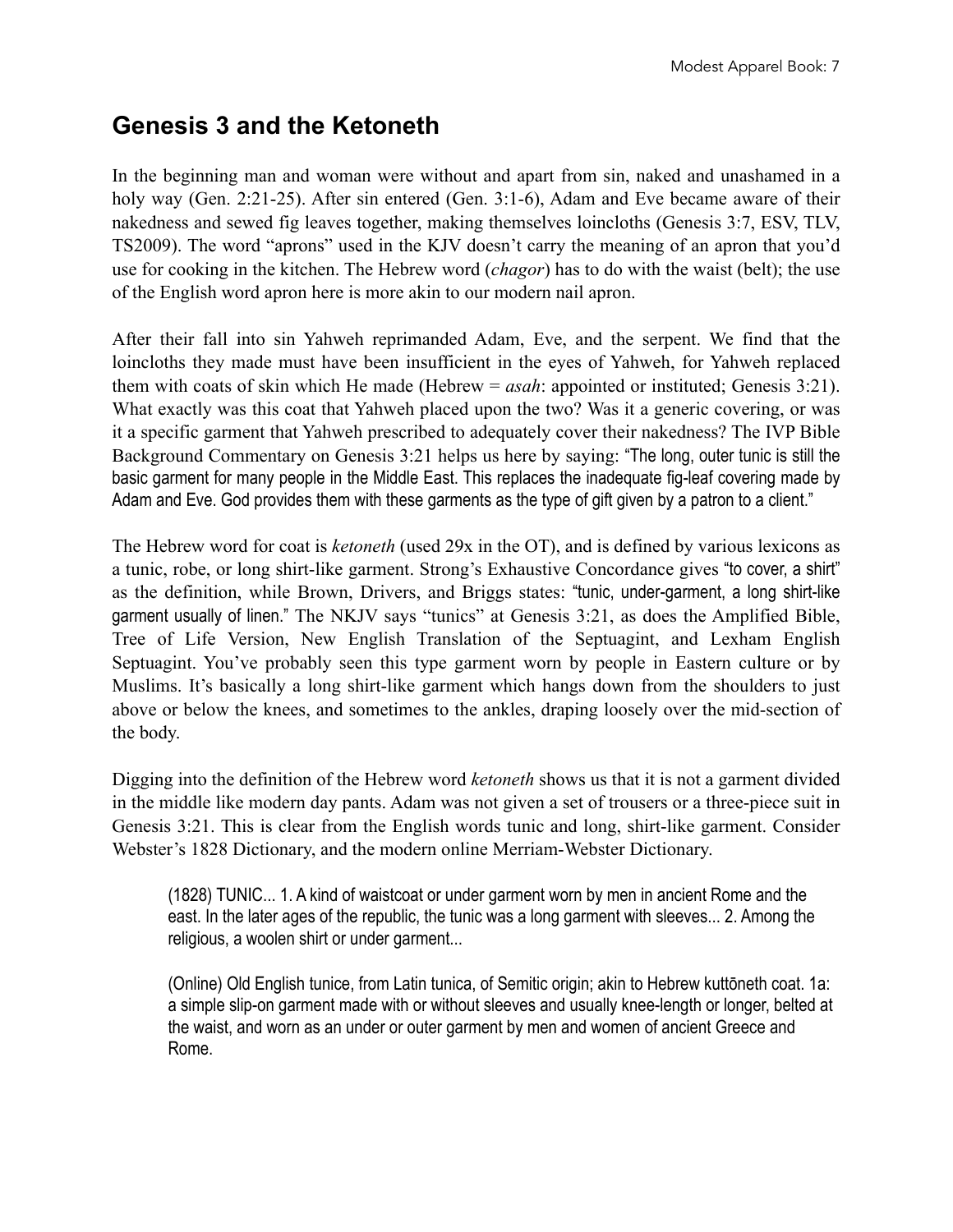## **Genesis 3 and the Ketoneth**

In the beginning man and woman were without and apart from sin, naked and unashamed in a holy way (Gen. 2:21-25). After sin entered (Gen. 3:1-6), Adam and Eve became aware of their nakedness and sewed fig leaves together, making themselves loincloths (Genesis 3:7, ESV, TLV, TS2009). The word "aprons" used in the KJV doesn't carry the meaning of an apron that you'd use for cooking in the kitchen. The Hebrew word (*chagor*) has to do with the waist (belt); the use of the English word apron here is more akin to our modern nail apron.

After their fall into sin Yahweh reprimanded Adam, Eve, and the serpent. We find that the loincloths they made must have been insufficient in the eyes of Yahweh, for Yahweh replaced them with coats of skin which He made (Hebrew = *asah*: appointed or instituted; Genesis 3:21). What exactly was this coat that Yahweh placed upon the two? Was it a generic covering, or was it a specific garment that Yahweh prescribed to adequately cover their nakedness? The IVP Bible Background Commentary on Genesis 3:21 helps us here by saying: "The long, outer tunic is still the basic garment for many people in the Middle East. This replaces the inadequate fig-leaf covering made by Adam and Eve. God provides them with these garments as the type of gift given by a patron to a client."

The Hebrew word for coat is *ketoneth* (used 29x in the OT), and is defined by various lexicons as a tunic, robe, or long shirt-like garment. Strong's Exhaustive Concordance gives "to cover, a shirt" as the definition, while Brown, Drivers, and Briggs states: "tunic, under-garment, a long shirt-like garment usually of linen." The NKJV says "tunics" at Genesis 3:21, as does the Amplified Bible, Tree of Life Version, New English Translation of the Septuagint, and Lexham English Septuagint. You've probably seen this type garment worn by people in Eastern culture or by Muslims. It's basically a long shirt-like garment which hangs down from the shoulders to just above or below the knees, and sometimes to the ankles, draping loosely over the mid-section of the body.

Digging into the definition of the Hebrew word *ketoneth* shows us that it is not a garment divided in the middle like modern day pants. Adam was not given a set of trousers or a three-piece suit in Genesis 3:21. This is clear from the English words tunic and long, shirt-like garment. Consider Webster's 1828 Dictionary, and the modern online Merriam-Webster Dictionary.

(1828) TUNIC... 1. A kind of waistcoat or under garment worn by men in ancient Rome and the east. In the later ages of the republic, the tunic was a long garment with sleeves... 2. Among the religious, a woolen shirt or under garment...

(Online) Old English tunice, from Latin tunica, of Semitic origin; akin to Hebrew kuttōneth coat. 1a: a simple slip-on garment made with or without sleeves and usually knee-length or longer, belted at the waist, and worn as an under or outer garment by men and women of ancient Greece and Rome.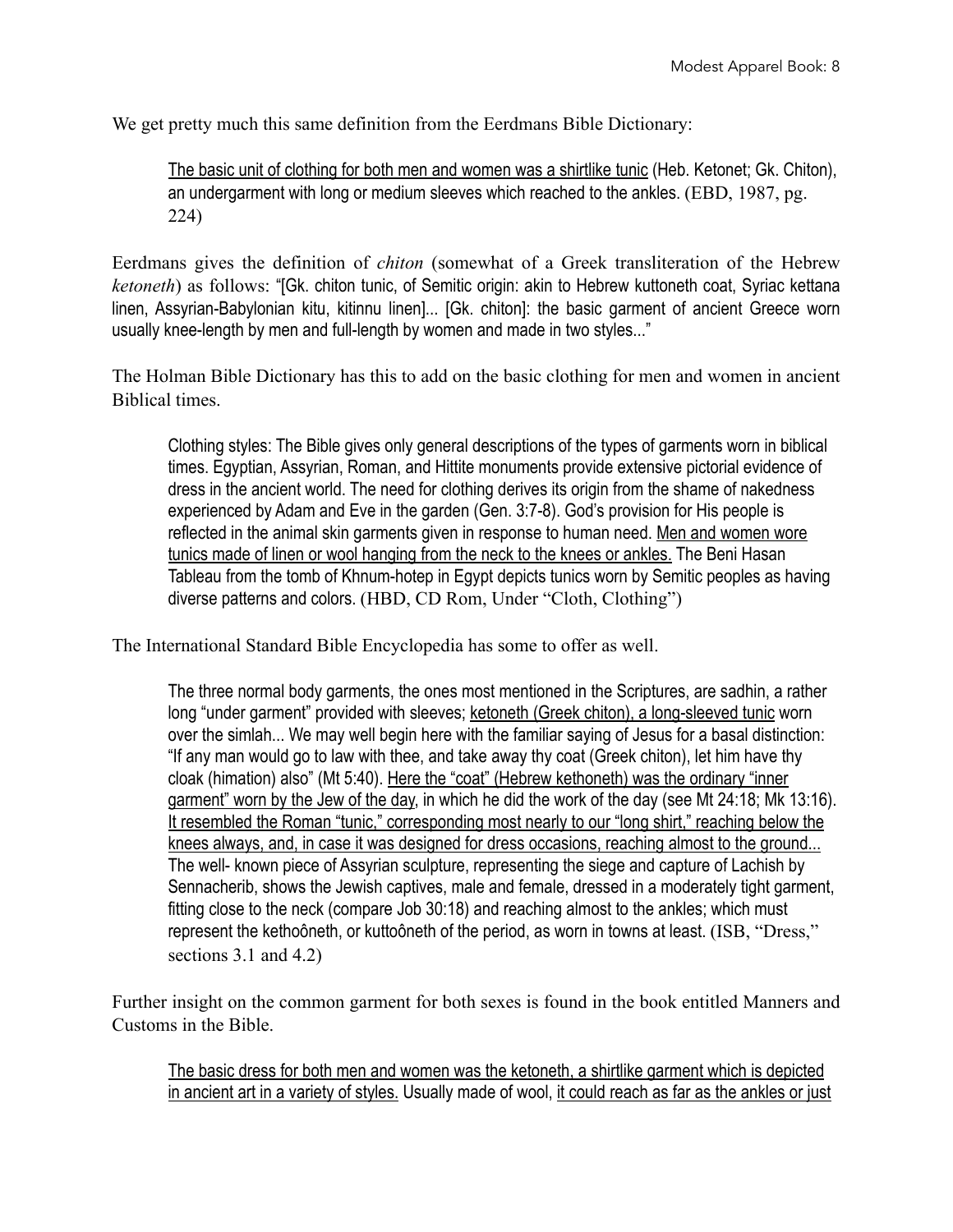We get pretty much this same definition from the Eerdmans Bible Dictionary:

The basic unit of clothing for both men and women was a shirtlike tunic (Heb. Ketonet; Gk. Chiton), an undergarment with long or medium sleeves which reached to the ankles. (EBD, 1987, pg. 224)

Eerdmans gives the definition of *chiton* (somewhat of a Greek transliteration of the Hebrew *ketoneth*) as follows: "[Gk. chiton tunic, of Semitic origin: akin to Hebrew kuttoneth coat, Syriac kettana linen, Assyrian-Babylonian kitu, kitinnu linen]... [Gk. chiton]: the basic garment of ancient Greece worn usually knee-length by men and full-length by women and made in two styles..."

The Holman Bible Dictionary has this to add on the basic clothing for men and women in ancient Biblical times.

Clothing styles: The Bible gives only general descriptions of the types of garments worn in biblical times. Egyptian, Assyrian, Roman, and Hittite monuments provide extensive pictorial evidence of dress in the ancient world. The need for clothing derives its origin from the shame of nakedness experienced by Adam and Eve in the garden (Gen. 3:7-8). God's provision for His people is reflected in the animal skin garments given in response to human need. Men and women wore tunics made of linen or wool hanging from the neck to the knees or ankles. The Beni Hasan Tableau from the tomb of Khnum-hotep in Egypt depicts tunics worn by Semitic peoples as having diverse patterns and colors. (HBD, CD Rom, Under "Cloth, Clothing")

The International Standard Bible Encyclopedia has some to offer as well.

The three normal body garments, the ones most mentioned in the Scriptures, are sadhin, a rather long "under garment" provided with sleeves; ketoneth (Greek chiton), a long-sleeved tunic worn over the simlah... We may well begin here with the familiar saying of Jesus for a basal distinction: "If any man would go to law with thee, and take away thy coat (Greek chiton), let him have thy cloak (himation) also" (Mt 5:40). Here the "coat" (Hebrew kethoneth) was the ordinary "inner garment" worn by the Jew of the day, in which he did the work of the day (see Mt 24:18; Mk 13:16). It resembled the Roman "tunic," corresponding most nearly to our "long shirt," reaching below the knees always, and, in case it was designed for dress occasions, reaching almost to the ground... The well- known piece of Assyrian sculpture, representing the siege and capture of Lachish by Sennacherib, shows the Jewish captives, male and female, dressed in a moderately tight garment, fitting close to the neck (compare Job 30:18) and reaching almost to the ankles; which must represent the kethoôneth, or kuttoôneth of the period, as worn in towns at least. (ISB, "Dress," sections 3.1 and 4.2)

Further insight on the common garment for both sexes is found in the book entitled Manners and Customs in the Bible.

The basic dress for both men and women was the ketoneth, a shirtlike garment which is depicted in ancient art in a variety of styles. Usually made of wool, it could reach as far as the ankles or just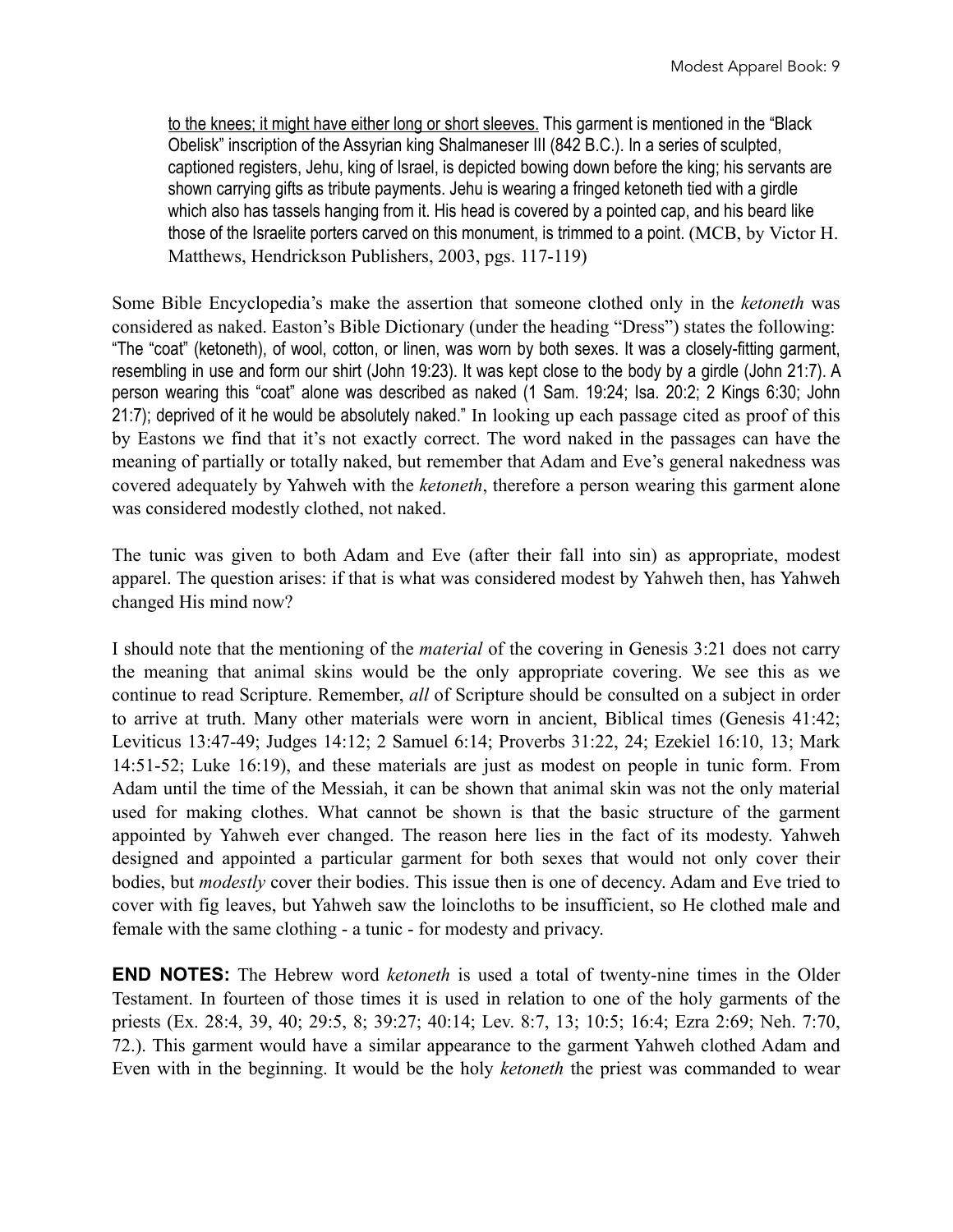to the knees; it might have either long or short sleeves. This garment is mentioned in the "Black Obelisk" inscription of the Assyrian king Shalmaneser III (842 B.C.). In a series of sculpted, captioned registers, Jehu, king of Israel, is depicted bowing down before the king; his servants are shown carrying gifts as tribute payments. Jehu is wearing a fringed ketoneth tied with a girdle which also has tassels hanging from it. His head is covered by a pointed cap, and his beard like those of the Israelite porters carved on this monument, is trimmed to a point. (MCB, by Victor H. Matthews, Hendrickson Publishers, 2003, pgs. 117-119)

Some Bible Encyclopedia's make the assertion that someone clothed only in the *ketoneth* was considered as naked. Easton's Bible Dictionary (under the heading "Dress") states the following: "The "coat" (ketoneth), of wool, cotton, or linen, was worn by both sexes. It was a closely-fitting garment, resembling in use and form our shirt (John 19:23). It was kept close to the body by a girdle (John 21:7). A person wearing this "coat" alone was described as naked (1 Sam. 19:24; Isa. 20:2; 2 Kings 6:30; John 21:7); deprived of it he would be absolutely naked." In looking up each passage cited as proof of this by Eastons we find that it's not exactly correct. The word naked in the passages can have the meaning of partially or totally naked, but remember that Adam and Eve's general nakedness was covered adequately by Yahweh with the *ketoneth*, therefore a person wearing this garment alone was considered modestly clothed, not naked.

The tunic was given to both Adam and Eve (after their fall into sin) as appropriate, modest apparel. The question arises: if that is what was considered modest by Yahweh then, has Yahweh changed His mind now?

I should note that the mentioning of the *material* of the covering in Genesis 3:21 does not carry the meaning that animal skins would be the only appropriate covering. We see this as we continue to read Scripture. Remember, *all* of Scripture should be consulted on a subject in order to arrive at truth. Many other materials were worn in ancient, Biblical times (Genesis 41:42; Leviticus 13:47-49; Judges 14:12; 2 Samuel 6:14; Proverbs 31:22, 24; Ezekiel 16:10, 13; Mark 14:51-52; Luke 16:19), and these materials are just as modest on people in tunic form. From Adam until the time of the Messiah, it can be shown that animal skin was not the only material used for making clothes. What cannot be shown is that the basic structure of the garment appointed by Yahweh ever changed. The reason here lies in the fact of its modesty. Yahweh designed and appointed a particular garment for both sexes that would not only cover their bodies, but *modestly* cover their bodies. This issue then is one of decency. Adam and Eve tried to cover with fig leaves, but Yahweh saw the loincloths to be insufficient, so He clothed male and female with the same clothing - a tunic - for modesty and privacy.

**END NOTES:** The Hebrew word *ketoneth* is used a total of twenty-nine times in the Older Testament. In fourteen of those times it is used in relation to one of the holy garments of the priests (Ex. 28:4, 39, 40; 29:5, 8; 39:27; 40:14; Lev. 8:7, 13; 10:5; 16:4; Ezra 2:69; Neh. 7:70, 72.). This garment would have a similar appearance to the garment Yahweh clothed Adam and Even with in the beginning. It would be the holy *ketoneth* the priest was commanded to wear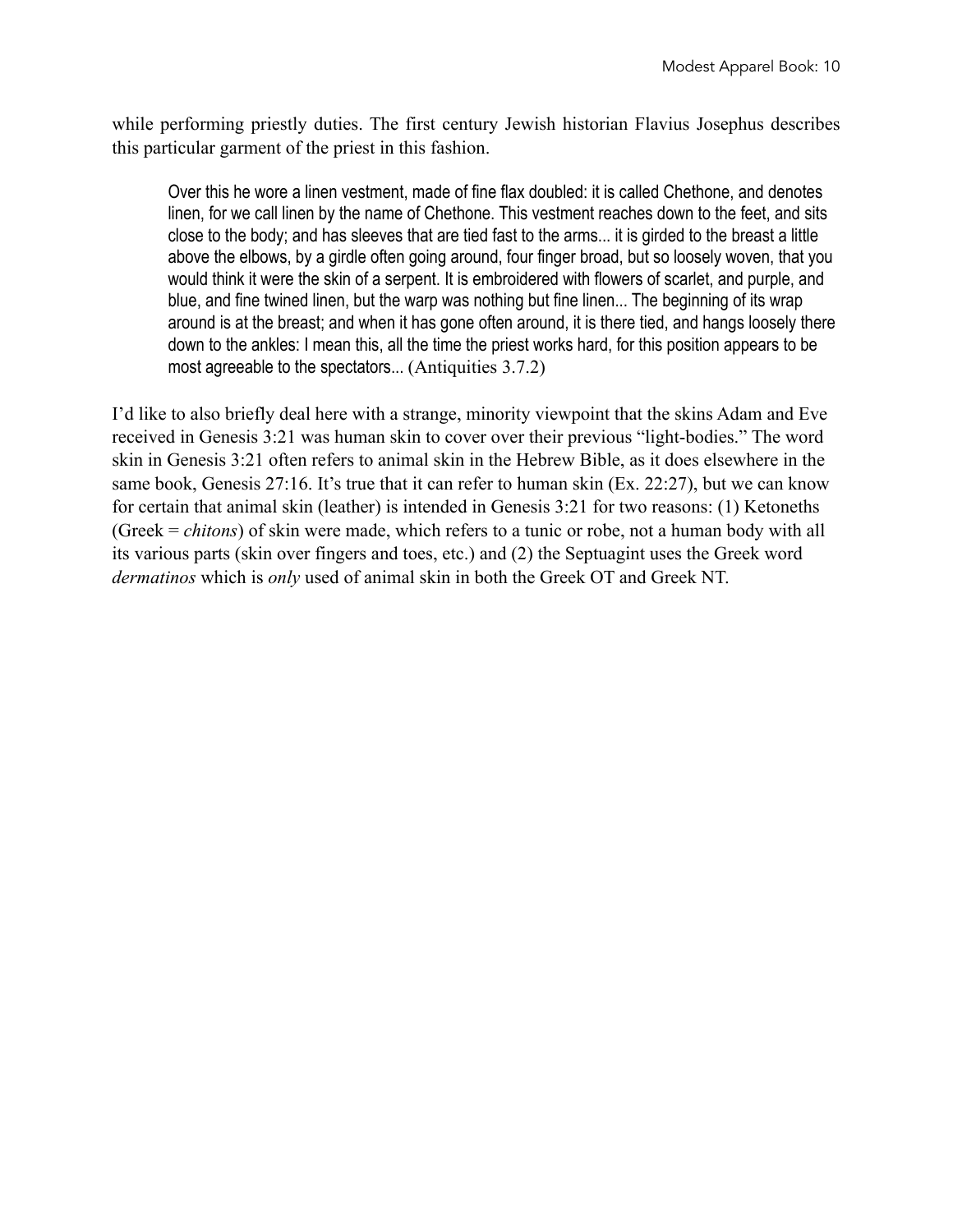while performing priestly duties. The first century Jewish historian Flavius Josephus describes this particular garment of the priest in this fashion.

Over this he wore a linen vestment, made of fine flax doubled: it is called Chethone, and denotes linen, for we call linen by the name of Chethone. This vestment reaches down to the feet, and sits close to the body; and has sleeves that are tied fast to the arms... it is girded to the breast a little above the elbows, by a girdle often going around, four finger broad, but so loosely woven, that you would think it were the skin of a serpent. It is embroidered with flowers of scarlet, and purple, and blue, and fine twined linen, but the warp was nothing but fine linen... The beginning of its wrap around is at the breast; and when it has gone often around, it is there tied, and hangs loosely there down to the ankles: I mean this, all the time the priest works hard, for this position appears to be most agreeable to the spectators... (Antiquities 3.7.2)

I'd like to also briefly deal here with a strange, minority viewpoint that the skins Adam and Eve received in Genesis 3:21 was human skin to cover over their previous "light-bodies." The word skin in Genesis 3:21 often refers to animal skin in the Hebrew Bible, as it does elsewhere in the same book, Genesis 27:16. It's true that it can refer to human skin (Ex. 22:27), but we can know for certain that animal skin (leather) is intended in Genesis 3:21 for two reasons: (1) Ketoneths (Greek = *chitons*) of skin were made, which refers to a tunic or robe, not a human body with all its various parts (skin over fingers and toes, etc.) and (2) the Septuagint uses the Greek word *dermatinos* which is *only* used of animal skin in both the Greek OT and Greek NT.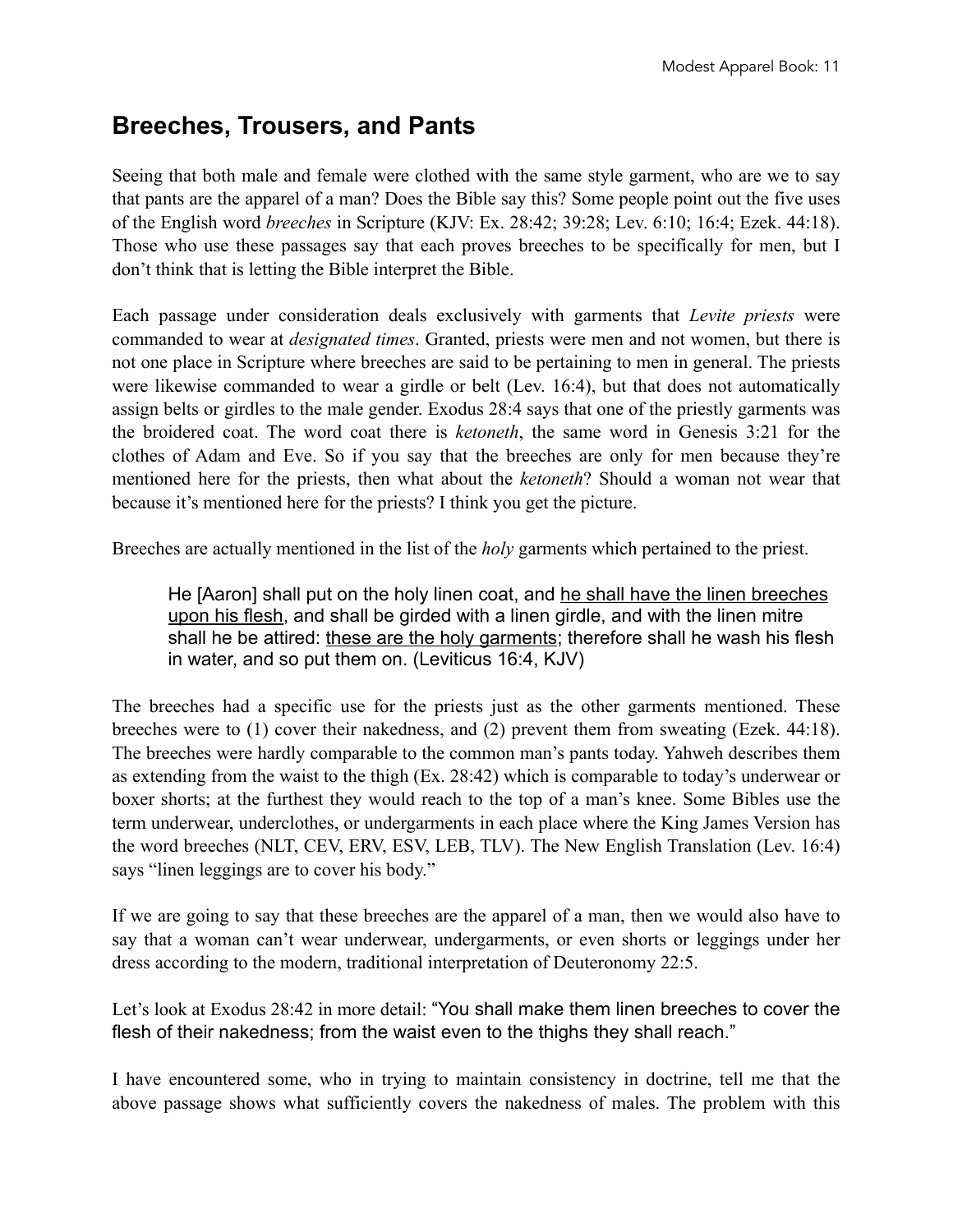## **Breeches, Trousers, and Pants**

Seeing that both male and female were clothed with the same style garment, who are we to say that pants are the apparel of a man? Does the Bible say this? Some people point out the five uses of the English word *breeches* in Scripture (KJV: Ex. 28:42; 39:28; Lev. 6:10; 16:4; Ezek. 44:18). Those who use these passages say that each proves breeches to be specifically for men, but I don't think that is letting the Bible interpret the Bible.

Each passage under consideration deals exclusively with garments that *Levite priests* were commanded to wear at *designated times*. Granted, priests were men and not women, but there is not one place in Scripture where breeches are said to be pertaining to men in general. The priests were likewise commanded to wear a girdle or belt (Lev. 16:4), but that does not automatically assign belts or girdles to the male gender. Exodus 28:4 says that one of the priestly garments was the broidered coat. The word coat there is *ketoneth*, the same word in Genesis 3:21 for the clothes of Adam and Eve. So if you say that the breeches are only for men because they're mentioned here for the priests, then what about the *ketoneth*? Should a woman not wear that because it's mentioned here for the priests? I think you get the picture.

Breeches are actually mentioned in the list of the *holy* garments which pertained to the priest.

He [Aaron] shall put on the holy linen coat, and he shall have the linen breeches upon his flesh, and shall be girded with a linen girdle, and with the linen mitre shall he be attired: these are the holy garments; therefore shall he wash his flesh in water, and so put them on. (Leviticus 16:4, KJV)

The breeches had a specific use for the priests just as the other garments mentioned. These breeches were to (1) cover their nakedness, and (2) prevent them from sweating (Ezek. 44:18). The breeches were hardly comparable to the common man's pants today. Yahweh describes them as extending from the waist to the thigh (Ex. 28:42) which is comparable to today's underwear or boxer shorts; at the furthest they would reach to the top of a man's knee. Some Bibles use the term underwear, underclothes, or undergarments in each place where the King James Version has the word breeches (NLT, CEV, ERV, ESV, LEB, TLV). The New English Translation (Lev. 16:4) says "linen leggings are to cover his body."

If we are going to say that these breeches are the apparel of a man, then we would also have to say that a woman can't wear underwear, undergarments, or even shorts or leggings under her dress according to the modern, traditional interpretation of Deuteronomy 22:5.

Let's look at Exodus 28:42 in more detail: "You shall make them linen breeches to cover the flesh of their nakedness; from the waist even to the thighs they shall reach."

I have encountered some, who in trying to maintain consistency in doctrine, tell me that the above passage shows what sufficiently covers the nakedness of males. The problem with this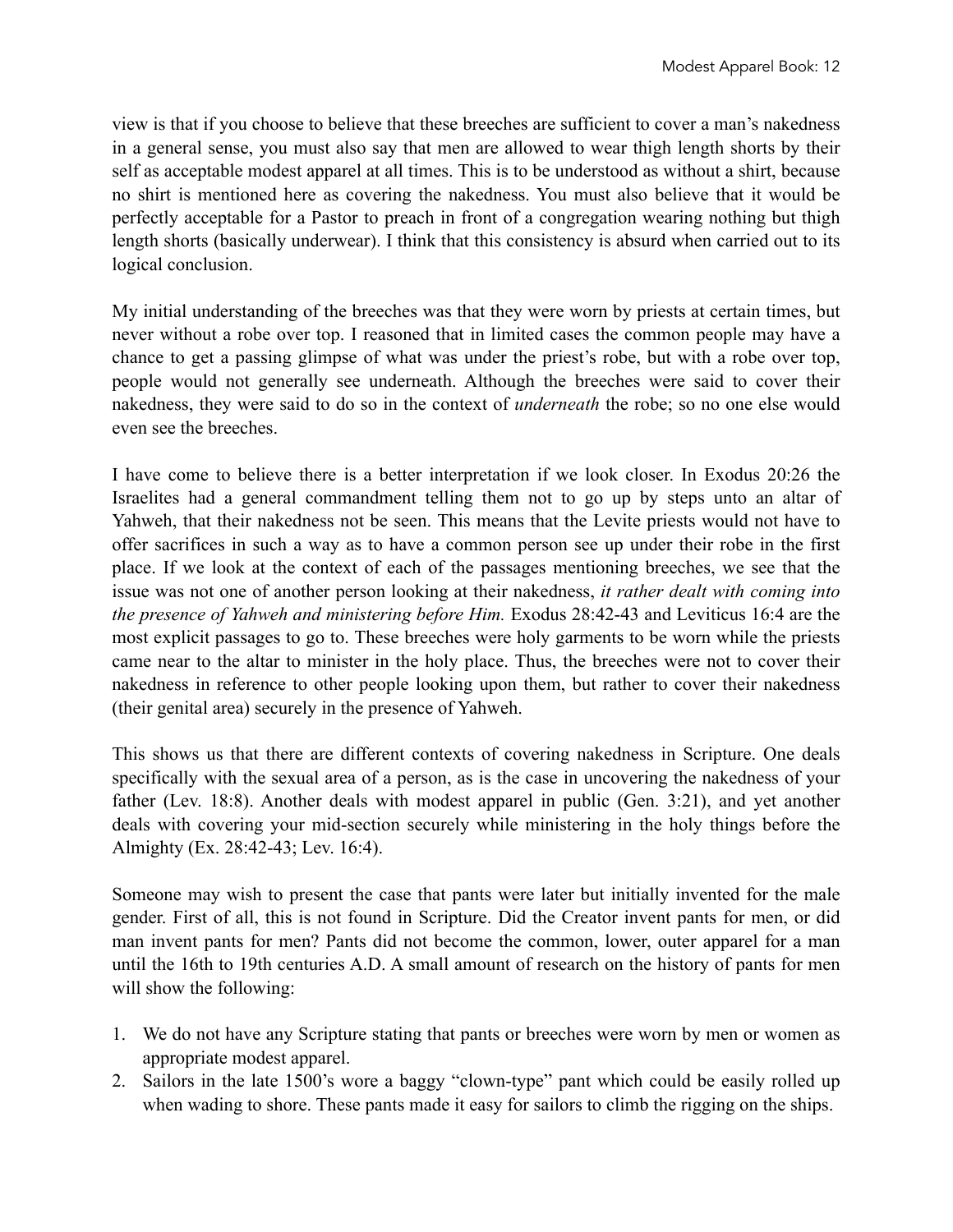view is that if you choose to believe that these breeches are sufficient to cover a man's nakedness in a general sense, you must also say that men are allowed to wear thigh length shorts by their self as acceptable modest apparel at all times. This is to be understood as without a shirt, because no shirt is mentioned here as covering the nakedness. You must also believe that it would be perfectly acceptable for a Pastor to preach in front of a congregation wearing nothing but thigh length shorts (basically underwear). I think that this consistency is absurd when carried out to its logical conclusion.

My initial understanding of the breeches was that they were worn by priests at certain times, but never without a robe over top. I reasoned that in limited cases the common people may have a chance to get a passing glimpse of what was under the priest's robe, but with a robe over top, people would not generally see underneath. Although the breeches were said to cover their nakedness, they were said to do so in the context of *underneath* the robe; so no one else would even see the breeches.

I have come to believe there is a better interpretation if we look closer. In Exodus 20:26 the Israelites had a general commandment telling them not to go up by steps unto an altar of Yahweh, that their nakedness not be seen. This means that the Levite priests would not have to offer sacrifices in such a way as to have a common person see up under their robe in the first place. If we look at the context of each of the passages mentioning breeches, we see that the issue was not one of another person looking at their nakedness, *it rather dealt with coming into the presence of Yahweh and ministering before Him.* Exodus 28:42-43 and Leviticus 16:4 are the most explicit passages to go to. These breeches were holy garments to be worn while the priests came near to the altar to minister in the holy place. Thus, the breeches were not to cover their nakedness in reference to other people looking upon them, but rather to cover their nakedness (their genital area) securely in the presence of Yahweh.

This shows us that there are different contexts of covering nakedness in Scripture. One deals specifically with the sexual area of a person, as is the case in uncovering the nakedness of your father (Lev. 18:8). Another deals with modest apparel in public (Gen. 3:21), and yet another deals with covering your mid-section securely while ministering in the holy things before the Almighty (Ex. 28:42-43; Lev. 16:4).

Someone may wish to present the case that pants were later but initially invented for the male gender. First of all, this is not found in Scripture. Did the Creator invent pants for men, or did man invent pants for men? Pants did not become the common, lower, outer apparel for a man until the 16th to 19th centuries A.D. A small amount of research on the history of pants for men will show the following:

- 1. We do not have any Scripture stating that pants or breeches were worn by men or women as appropriate modest apparel.
- 2. Sailors in the late 1500's wore a baggy "clown-type" pant which could be easily rolled up when wading to shore. These pants made it easy for sailors to climb the rigging on the ships.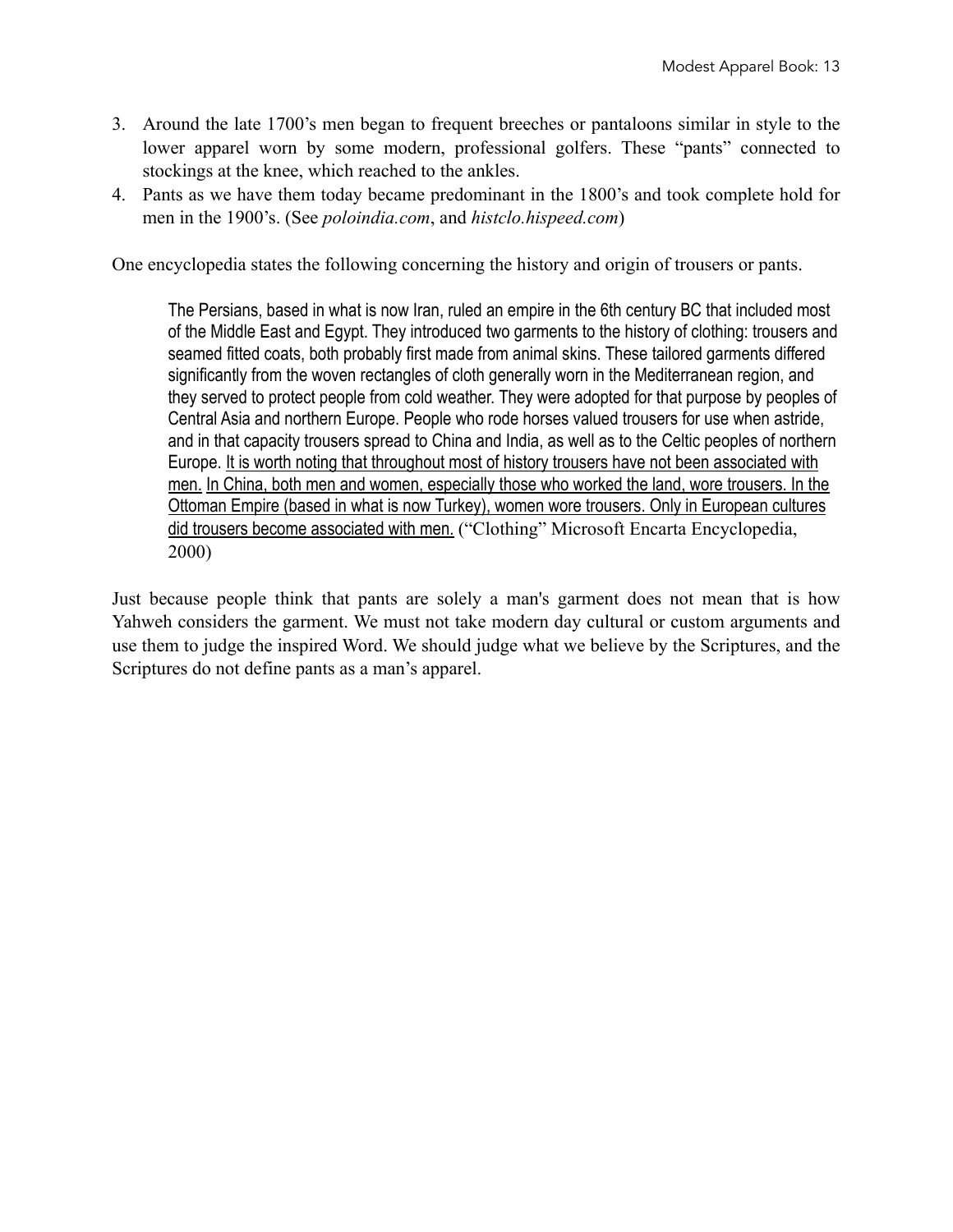- 3. Around the late 1700's men began to frequent breeches or pantaloons similar in style to the lower apparel worn by some modern, professional golfers. These "pants" connected to stockings at the knee, which reached to the ankles.
- 4. Pants as we have them today became predominant in the 1800's and took complete hold for men in the 1900's. (See *poloindia.com*, and *histclo.h[ispeed.com](http://speed.com)*)

One encyclopedia states the following concerning the history and origin of trousers or pants.

The Persians, based in what is now Iran, ruled an empire in the 6th century BC that included most of the Middle East and Egypt. They introduced two garments to the history of clothing: trousers and seamed fitted coats, both probably first made from animal skins. These tailored garments differed significantly from the woven rectangles of cloth generally worn in the Mediterranean region, and they served to protect people from cold weather. They were adopted for that purpose by peoples of Central Asia and northern Europe. People who rode horses valued trousers for use when astride, and in that capacity trousers spread to China and India, as well as to the Celtic peoples of northern Europe. It is worth noting that throughout most of history trousers have not been associated with men. In China, both men and women, especially those who worked the land, wore trousers. In the Ottoman Empire (based in what is now Turkey), women wore trousers. Only in European cultures did trousers become associated with men. ("Clothing" Microsoft Encarta Encyclopedia, 2000)

Just because people think that pants are solely a man's garment does not mean that is how Yahweh considers the garment. We must not take modern day cultural or custom arguments and use them to judge the inspired Word. We should judge what we believe by the Scriptures, and the Scriptures do not define pants as a man's apparel.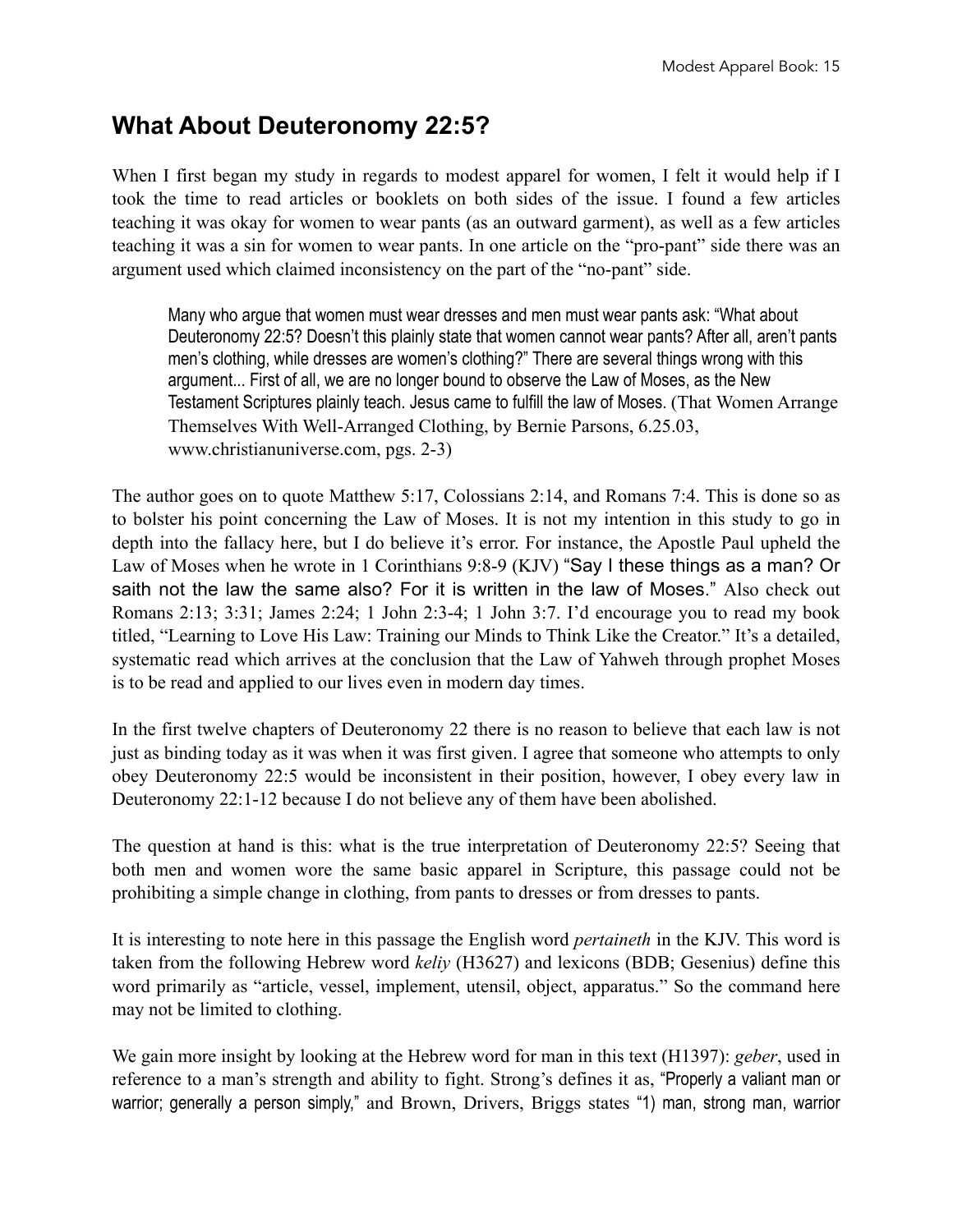#### **What About Deuteronomy 22:5?**

When I first began my study in regards to modest apparel for women, I felt it would help if I took the time to read articles or booklets on both sides of the issue. I found a few articles teaching it was okay for women to wear pants (as an outward garment), as well as a few articles teaching it was a sin for women to wear pants. In one article on the "pro-pant" side there was an argument used which claimed inconsistency on the part of the "no-pant" side.

Many who argue that women must wear dresses and men must wear pants ask: "What about Deuteronomy 22:5? Doesn't this plainly state that women cannot wear pants? After all, aren't pants men's clothing, while dresses are women's clothing?" There are several things wrong with this argument... First of all, we are no longer bound to observe the Law of Moses, as the New Testament Scriptures plainly teach. Jesus came to fulfill the law of Moses. (That Women Arrange Themselves With Well-Arranged Clothing, by Bernie Parsons, 6.25.03, www.christianuniverse.com, pgs. 2-3)

The author goes on to quote Matthew 5:17, Colossians 2:14, and Romans 7:4. This is done so as to bolster his point concerning the Law of Moses. It is not my intention in this study to go in depth into the fallacy here, but I do believe it's error. For instance, the Apostle Paul upheld the Law of Moses when he wrote in 1 Corinthians 9:8-9 (KJV) "Say I these things as a man? Or saith not the law the same also? For it is written in the law of Moses." Also check out Romans 2:13; 3:31; James 2:24; 1 John 2:3-4; 1 John 3:7. I'd encourage you to read my book titled, "Learning to Love His Law: Training our Minds to Think Like the Creator." It's a detailed, systematic read which arrives at the conclusion that the Law of Yahweh through prophet Moses is to be read and applied to our lives even in modern day times.

In the first twelve chapters of Deuteronomy 22 there is no reason to believe that each law is not just as binding today as it was when it was first given. I agree that someone who attempts to only obey Deuteronomy 22:5 would be inconsistent in their position, however, I obey every law in Deuteronomy 22:1-12 because I do not believe any of them have been abolished.

The question at hand is this: what is the true interpretation of Deuteronomy 22:5? Seeing that both men and women wore the same basic apparel in Scripture, this passage could not be prohibiting a simple change in clothing, from pants to dresses or from dresses to pants.

It is interesting to note here in this passage the English word *pertaineth* in the KJV. This word is taken from the following Hebrew word *keliy* (H3627) and lexicons (BDB; Gesenius) define this word primarily as "article, vessel, implement, utensil, object, apparatus." So the command here may not be limited to clothing.

We gain more insight by looking at the Hebrew word for man in this text (H1397): *geber*, used in reference to a man's strength and ability to fight. Strong's defines it as, "Properly a valiant man or warrior; generally a person simply," and Brown, Drivers, Briggs states "1) man, strong man, warrior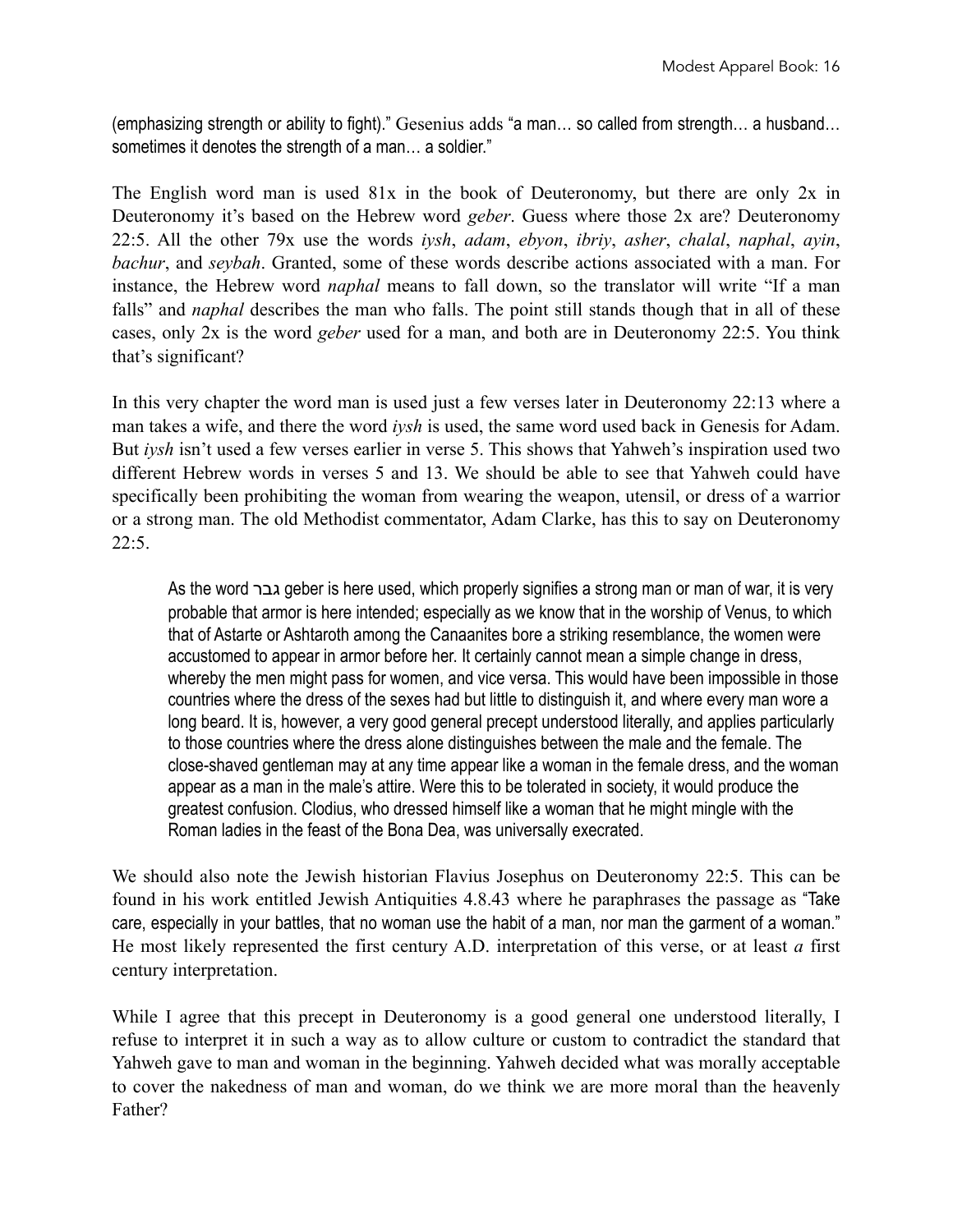(emphasizing strength or ability to fight)." Gesenius adds "a man… so called from strength… a husband… sometimes it denotes the strength of a man… a soldier."

The English word man is used 81x in the book of Deuteronomy, but there are only 2x in Deuteronomy it's based on the Hebrew word *geber*. Guess where those 2x are? Deuteronomy 22:5. All the other 79x use the words *iysh*, *adam*, *ebyon*, *ibriy*, *asher*, *chalal*, *naphal*, *ayin*, *bachur*, and *seybah*. Granted, some of these words describe actions associated with a man. For instance, the Hebrew word *naphal* means to fall down, so the translator will write "If a man falls" and *naphal* describes the man who falls. The point still stands though that in all of these cases, only 2x is the word *geber* used for a man, and both are in Deuteronomy 22:5. You think that's significant?

In this very chapter the word man is used just a few verses later in Deuteronomy 22:13 where a man takes a wife, and there the word *iysh* is used, the same word used back in Genesis for Adam. But *iysh* isn't used a few verses earlier in verse 5. This shows that Yahweh's inspiration used two different Hebrew words in verses 5 and 13. We should be able to see that Yahweh could have specifically been prohibiting the woman from wearing the weapon, utensil, or dress of a warrior or a strong man. The old Methodist commentator, Adam Clarke, has this to say on Deuteronomy 22:5.

As the word גבר geber is here used, which properly signifies a strong man or man of war, it is very probable that armor is here intended; especially as we know that in the worship of Venus, to which that of Astarte or Ashtaroth among the Canaanites bore a striking resemblance, the women were accustomed to appear in armor before her. It certainly cannot mean a simple change in dress, whereby the men might pass for women, and vice versa. This would have been impossible in those countries where the dress of the sexes had but little to distinguish it, and where every man wore a long beard. It is, however, a very good general precept understood literally, and applies particularly to those countries where the dress alone distinguishes between the male and the female. The close-shaved gentleman may at any time appear like a woman in the female dress, and the woman appear as a man in the male's attire. Were this to be tolerated in society, it would produce the greatest confusion. Clodius, who dressed himself like a woman that he might mingle with the Roman ladies in the feast of the Bona Dea, was universally execrated.

We should also note the Jewish historian Flavius Josephus on Deuteronomy 22:5. This can be found in his work entitled Jewish Antiquities 4.8.43 where he paraphrases the passage as "Take care, especially in your battles, that no woman use the habit of a man, nor man the garment of a woman." He most likely represented the first century A.D. interpretation of this verse, or at least *a* first century interpretation.

While I agree that this precept in Deuteronomy is a good general one understood literally, I refuse to interpret it in such a way as to allow culture or custom to contradict the standard that Yahweh gave to man and woman in the beginning. Yahweh decided what was morally acceptable to cover the nakedness of man and woman, do we think we are more moral than the heavenly Father?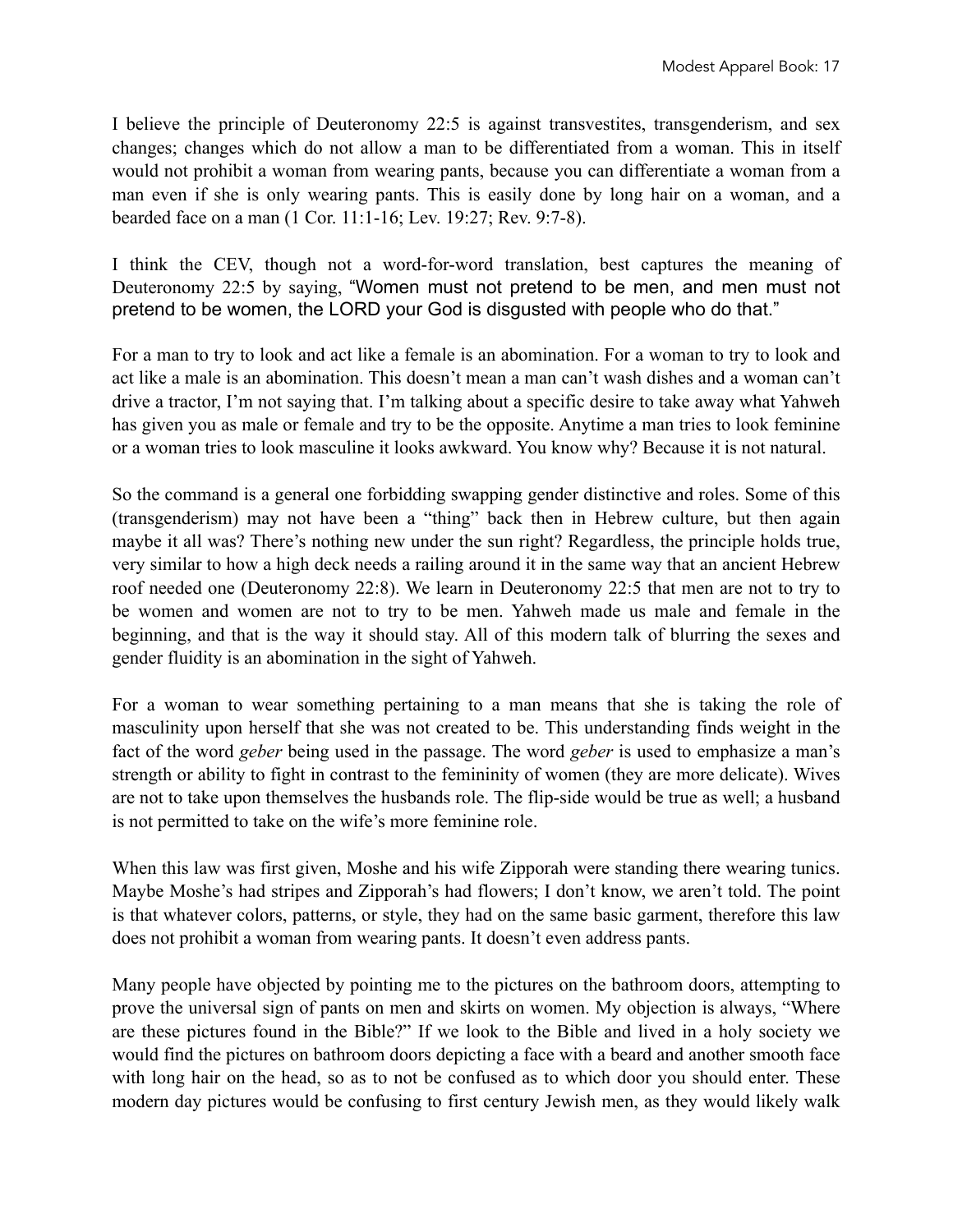I believe the principle of Deuteronomy 22:5 is against transvestites, transgenderism, and sex changes; changes which do not allow a man to be differentiated from a woman. This in itself would not prohibit a woman from wearing pants, because you can differentiate a woman from a man even if she is only wearing pants. This is easily done by long hair on a woman, and a bearded face on a man (1 Cor. 11:1-16; Lev. 19:27; Rev. 9:7-8).

I think the CEV, though not a word-for-word translation, best captures the meaning of Deuteronomy 22:5 by saying, "Women must not pretend to be men, and men must not pretend to be women, the LORD your God is disgusted with people who do that."

For a man to try to look and act like a female is an abomination. For a woman to try to look and act like a male is an abomination. This doesn't mean a man can't wash dishes and a woman can't drive a tractor, I'm not saying that. I'm talking about a specific desire to take away what Yahweh has given you as male or female and try to be the opposite. Anytime a man tries to look feminine or a woman tries to look masculine it looks awkward. You know why? Because it is not natural.

So the command is a general one forbidding swapping gender distinctive and roles. Some of this (transgenderism) may not have been a "thing" back then in Hebrew culture, but then again maybe it all was? There's nothing new under the sun right? Regardless, the principle holds true, very similar to how a high deck needs a railing around it in the same way that an ancient Hebrew roof needed one (Deuteronomy 22:8). We learn in Deuteronomy 22:5 that men are not to try to be women and women are not to try to be men. Yahweh made us male and female in the beginning, and that is the way it should stay. All of this modern talk of blurring the sexes and gender fluidity is an abomination in the sight of Yahweh.

For a woman to wear something pertaining to a man means that she is taking the role of masculinity upon herself that she was not created to be. This understanding finds weight in the fact of the word *geber* being used in the passage. The word *geber* is used to emphasize a man's strength or ability to fight in contrast to the femininity of women (they are more delicate). Wives are not to take upon themselves the husbands role. The flip-side would be true as well; a husband is not permitted to take on the wife's more feminine role.

When this law was first given, Moshe and his wife Zipporah were standing there wearing tunics. Maybe Moshe's had stripes and Zipporah's had flowers; I don't know, we aren't told. The point is that whatever colors, patterns, or style, they had on the same basic garment, therefore this law does not prohibit a woman from wearing pants. It doesn't even address pants.

Many people have objected by pointing me to the pictures on the bathroom doors, attempting to prove the universal sign of pants on men and skirts on women. My objection is always, "Where are these pictures found in the Bible?" If we look to the Bible and lived in a holy society we would find the pictures on bathroom doors depicting a face with a beard and another smooth face with long hair on the head, so as to not be confused as to which door you should enter. These modern day pictures would be confusing to first century Jewish men, as they would likely walk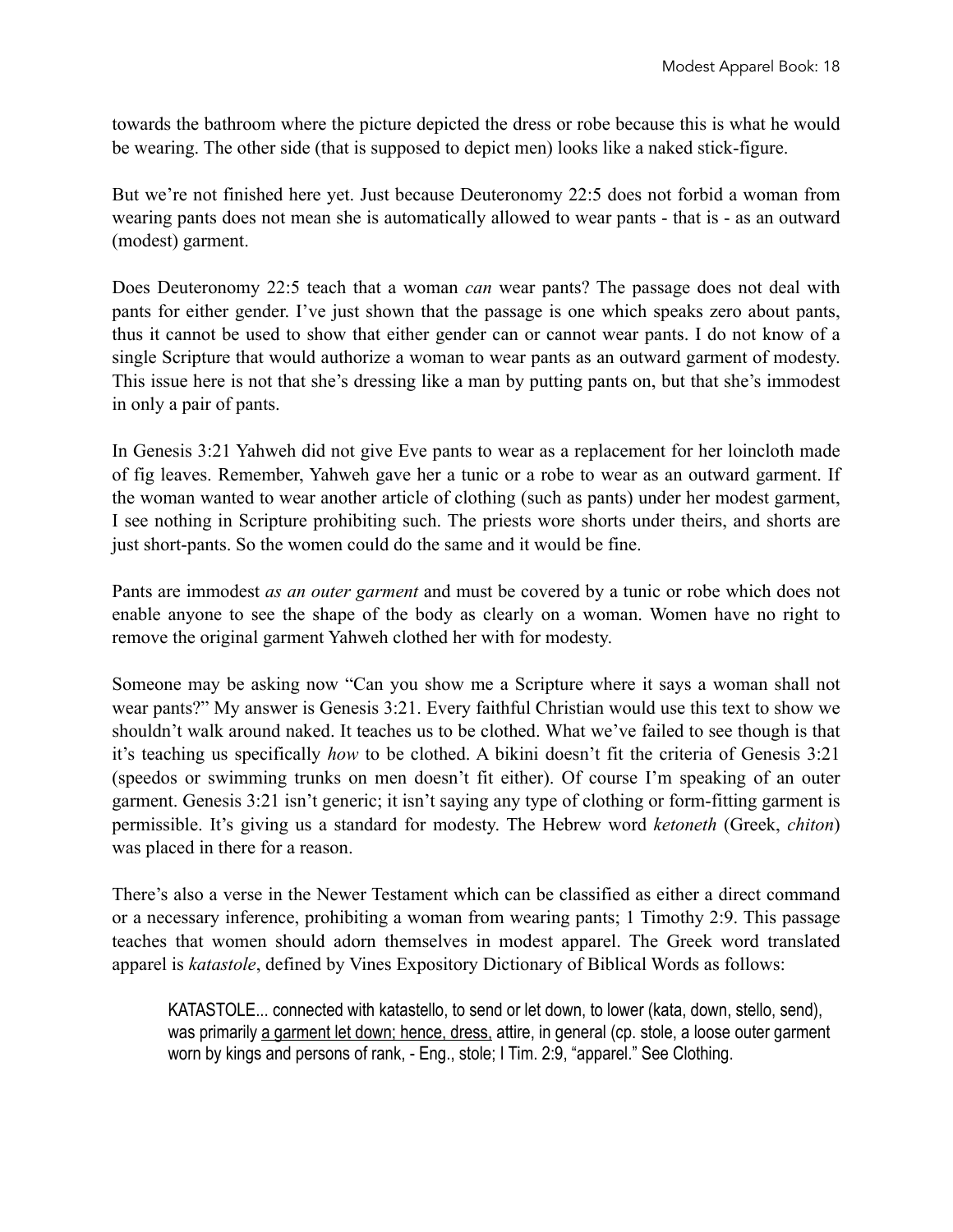towards the bathroom where the picture depicted the dress or robe because this is what he would be wearing. The other side (that is supposed to depict men) looks like a naked stick-figure.

But we're not finished here yet. Just because Deuteronomy 22:5 does not forbid a woman from wearing pants does not mean she is automatically allowed to wear pants - that is - as an outward (modest) garment.

Does Deuteronomy 22:5 teach that a woman *can* wear pants? The passage does not deal with pants for either gender. I've just shown that the passage is one which speaks zero about pants, thus it cannot be used to show that either gender can or cannot wear pants. I do not know of a single Scripture that would authorize a woman to wear pants as an outward garment of modesty. This issue here is not that she's dressing like a man by putting pants on, but that she's immodest in only a pair of pants.

In Genesis 3:21 Yahweh did not give Eve pants to wear as a replacement for her loincloth made of fig leaves. Remember, Yahweh gave her a tunic or a robe to wear as an outward garment. If the woman wanted to wear another article of clothing (such as pants) under her modest garment, I see nothing in Scripture prohibiting such. The priests wore shorts under theirs, and shorts are just short-pants. So the women could do the same and it would be fine.

Pants are immodest *as an outer garment* and must be covered by a tunic or robe which does not enable anyone to see the shape of the body as clearly on a woman. Women have no right to remove the original garment Yahweh clothed her with for modesty.

Someone may be asking now "Can you show me a Scripture where it says a woman shall not wear pants?" My answer is Genesis 3:21. Every faithful Christian would use this text to show we shouldn't walk around naked. It teaches us to be clothed. What we've failed to see though is that it's teaching us specifically *how* to be clothed. A bikini doesn't fit the criteria of Genesis 3:21 (speedos or swimming trunks on men doesn't fit either). Of course I'm speaking of an outer garment. Genesis 3:21 isn't generic; it isn't saying any type of clothing or form-fitting garment is permissible. It's giving us a standard for modesty. The Hebrew word *ketoneth* (Greek, *chiton*) was placed in there for a reason.

There's also a verse in the Newer Testament which can be classified as either a direct command or a necessary inference, prohibiting a woman from wearing pants; 1 Timothy 2:9. This passage teaches that women should adorn themselves in modest apparel. The Greek word translated apparel is *katastole*, defined by Vines Expository Dictionary of Biblical Words as follows:

KATASTOLE... connected with katastello, to send or let down, to lower (kata, down, stello, send), was primarily a garment let down; hence, dress, attire, in general (cp. stole, a loose outer garment worn by kings and persons of rank, - Eng., stole; I Tim. 2:9, "apparel." See Clothing.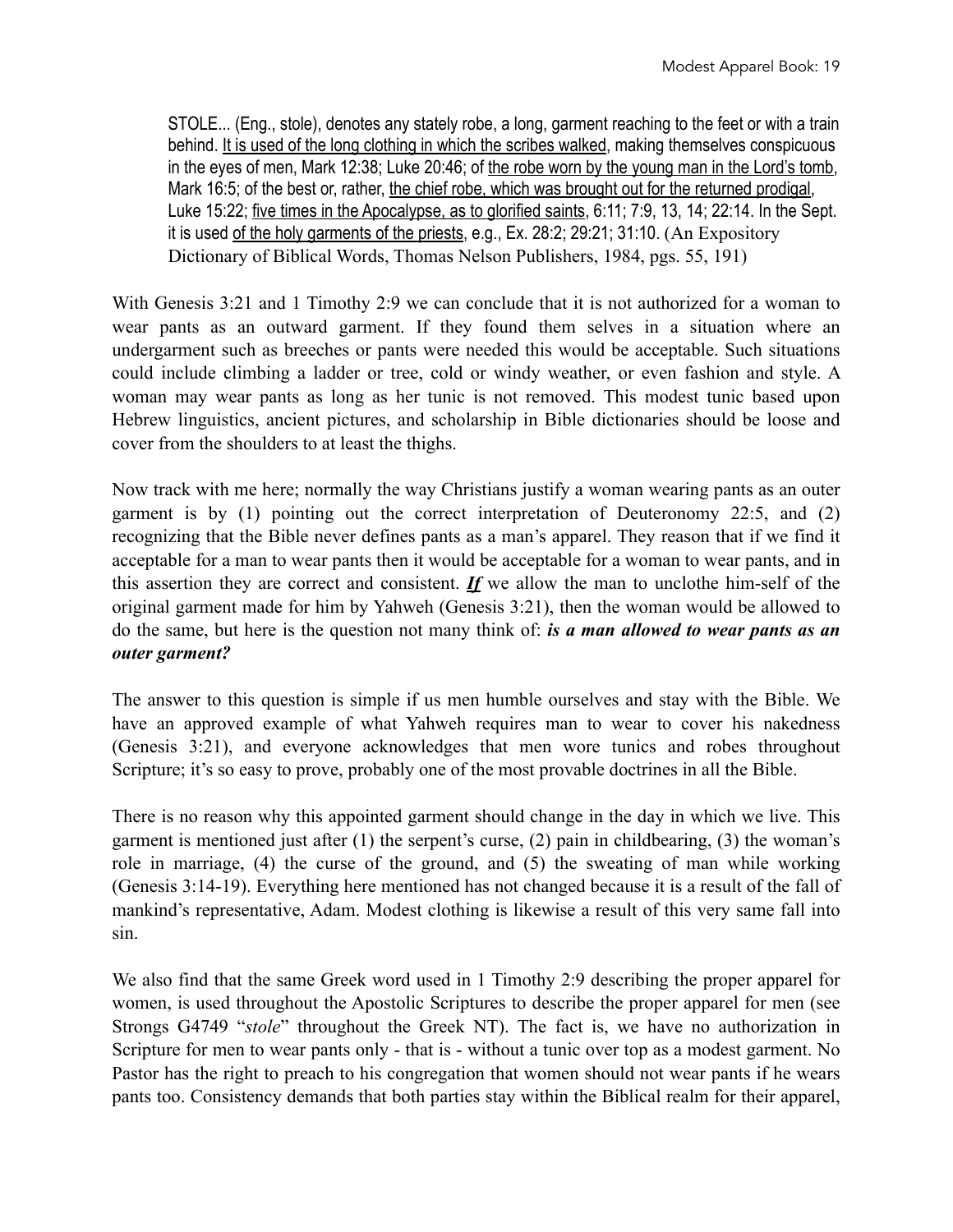STOLE... (Eng., stole), denotes any stately robe, a long, garment reaching to the feet or with a train behind. It is used of the long clothing in which the scribes walked, making themselves conspicuous in the eyes of men, Mark 12:38; Luke 20:46; of the robe worn by the young man in the Lord's tomb, Mark 16:5; of the best or, rather, the chief robe, which was brought out for the returned prodigal, Luke 15:22; five times in the Apocalypse, as to glorified saints, 6:11; 7:9, 13, 14; 22:14. In the Sept. it is used of the holy garments of the priests, e.g., Ex. 28:2; 29:21; 31:10. (An Expository Dictionary of Biblical Words, Thomas Nelson Publishers, 1984, pgs. 55, 191)

With Genesis 3:21 and 1 Timothy 2:9 we can conclude that it is not authorized for a woman to wear pants as an outward garment. If they found them selves in a situation where an undergarment such as breeches or pants were needed this would be acceptable. Such situations could include climbing a ladder or tree, cold or windy weather, or even fashion and style. A woman may wear pants as long as her tunic is not removed. This modest tunic based upon Hebrew linguistics, ancient pictures, and scholarship in Bible dictionaries should be loose and cover from the shoulders to at least the thighs.

Now track with me here; normally the way Christians justify a woman wearing pants as an outer garment is by (1) pointing out the correct interpretation of Deuteronomy 22:5, and (2) recognizing that the Bible never defines pants as a man's apparel. They reason that if we find it acceptable for a man to wear pants then it would be acceptable for a woman to wear pants, and in this assertion they are correct and consistent. *If* we allow the man to unclothe him-self of the original garment made for him by Yahweh (Genesis 3:21), then the woman would be allowed to do the same, but here is the question not many think of: *is a man allowed to wear pants as an outer garment?*

The answer to this question is simple if us men humble ourselves and stay with the Bible. We have an approved example of what Yahweh requires man to wear to cover his nakedness (Genesis 3:21), and everyone acknowledges that men wore tunics and robes throughout Scripture; it's so easy to prove, probably one of the most provable doctrines in all the Bible.

There is no reason why this appointed garment should change in the day in which we live. This garment is mentioned just after (1) the serpent's curse, (2) pain in childbearing, (3) the woman's role in marriage, (4) the curse of the ground, and (5) the sweating of man while working (Genesis 3:14-19). Everything here mentioned has not changed because it is a result of the fall of mankind's representative, Adam. Modest clothing is likewise a result of this very same fall into sin.

We also find that the same Greek word used in 1 Timothy 2:9 describing the proper apparel for women, is used throughout the Apostolic Scriptures to describe the proper apparel for men (see Strongs G4749 "*stole*" throughout the Greek NT). The fact is, we have no authorization in Scripture for men to wear pants only - that is - without a tunic over top as a modest garment. No Pastor has the right to preach to his congregation that women should not wear pants if he wears pants too. Consistency demands that both parties stay within the Biblical realm for their apparel,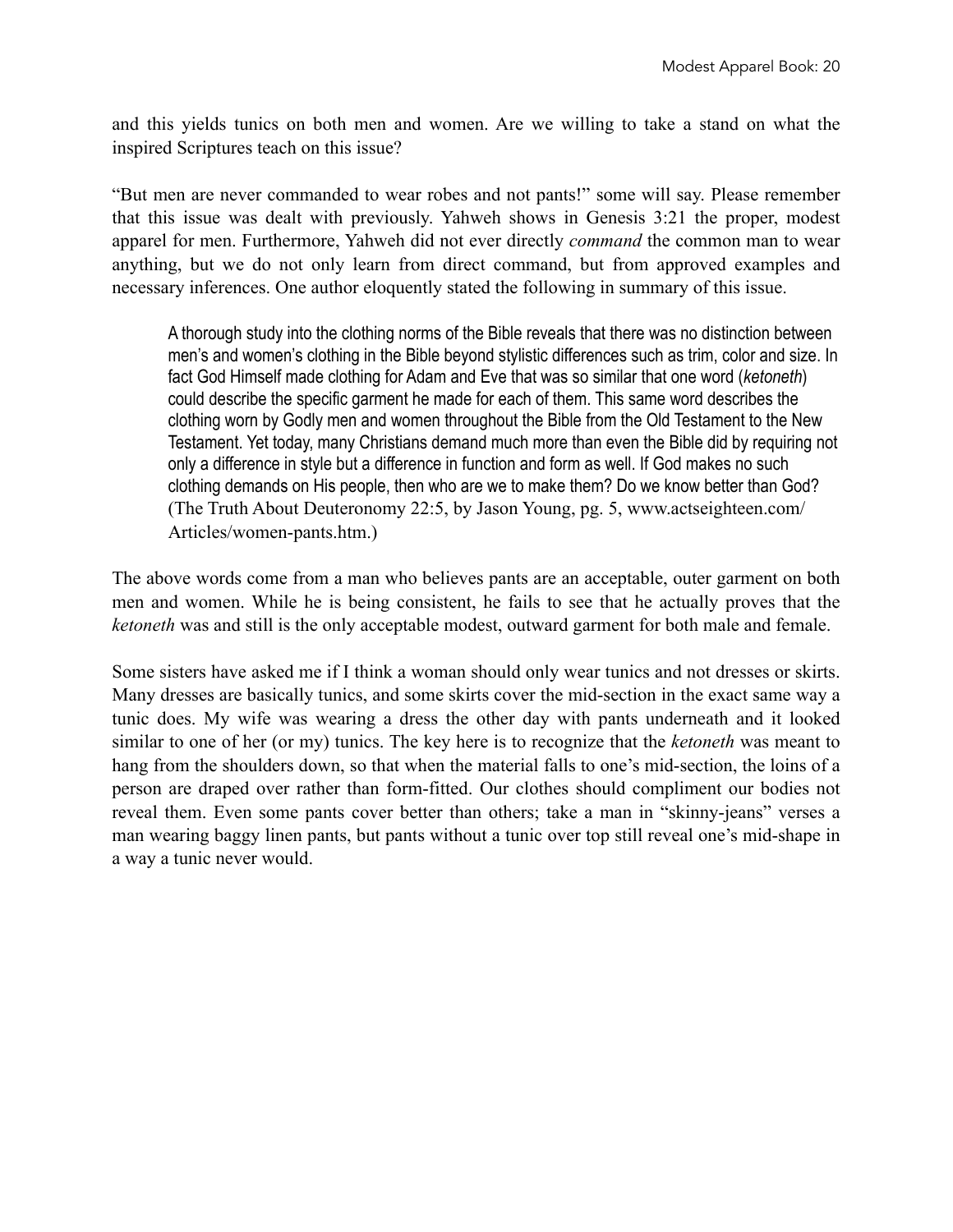and this yields tunics on both men and women. Are we willing to take a stand on what the inspired Scriptures teach on this issue?

"But men are never commanded to wear robes and not pants!" some will say. Please remember that this issue was dealt with previously. Yahweh shows in Genesis 3:21 the proper, modest apparel for men. Furthermore, Yahweh did not ever directly *command* the common man to wear anything, but we do not only learn from direct command, but from approved examples and necessary inferences. One author eloquently stated the following in summary of this issue.

A thorough study into the clothing norms of the Bible reveals that there was no distinction between men's and women's clothing in the Bible beyond stylistic differences such as trim, color and size. In fact God Himself made clothing for Adam and Eve that was so similar that one word (*ketoneth*) could describe the specific garment he made for each of them. This same word describes the clothing worn by Godly men and women throughout the Bible from the Old Testament to the New Testament. Yet today, many Christians demand much more than even the Bible did by requiring not only a difference in style but a difference in function and form as well. If God makes no such clothing demands on His people, then who are we to make them? Do we know better than God? (The Truth About Deuteronomy 22:5, by Jason Young, pg. 5, www.actseighteen.com/ Articles/women-pants.htm.)

The above words come from a man who believes pants are an acceptable, outer garment on both men and women. While he is being consistent, he fails to see that he actually proves that the *ketoneth* was and still is the only acceptable modest, outward garment for both male and female.

Some sisters have asked me if I think a woman should only wear tunics and not dresses or skirts. Many dresses are basically tunics, and some skirts cover the mid-section in the exact same way a tunic does. My wife was wearing a dress the other day with pants underneath and it looked similar to one of her (or my) tunics. The key here is to recognize that the *ketoneth* was meant to hang from the shoulders down, so that when the material falls to one's mid-section, the loins of a person are draped over rather than form-fitted. Our clothes should compliment our bodies not reveal them. Even some pants cover better than others; take a man in "skinny-jeans" verses a man wearing baggy linen pants, but pants without a tunic over top still reveal one's mid-shape in a way a tunic never would.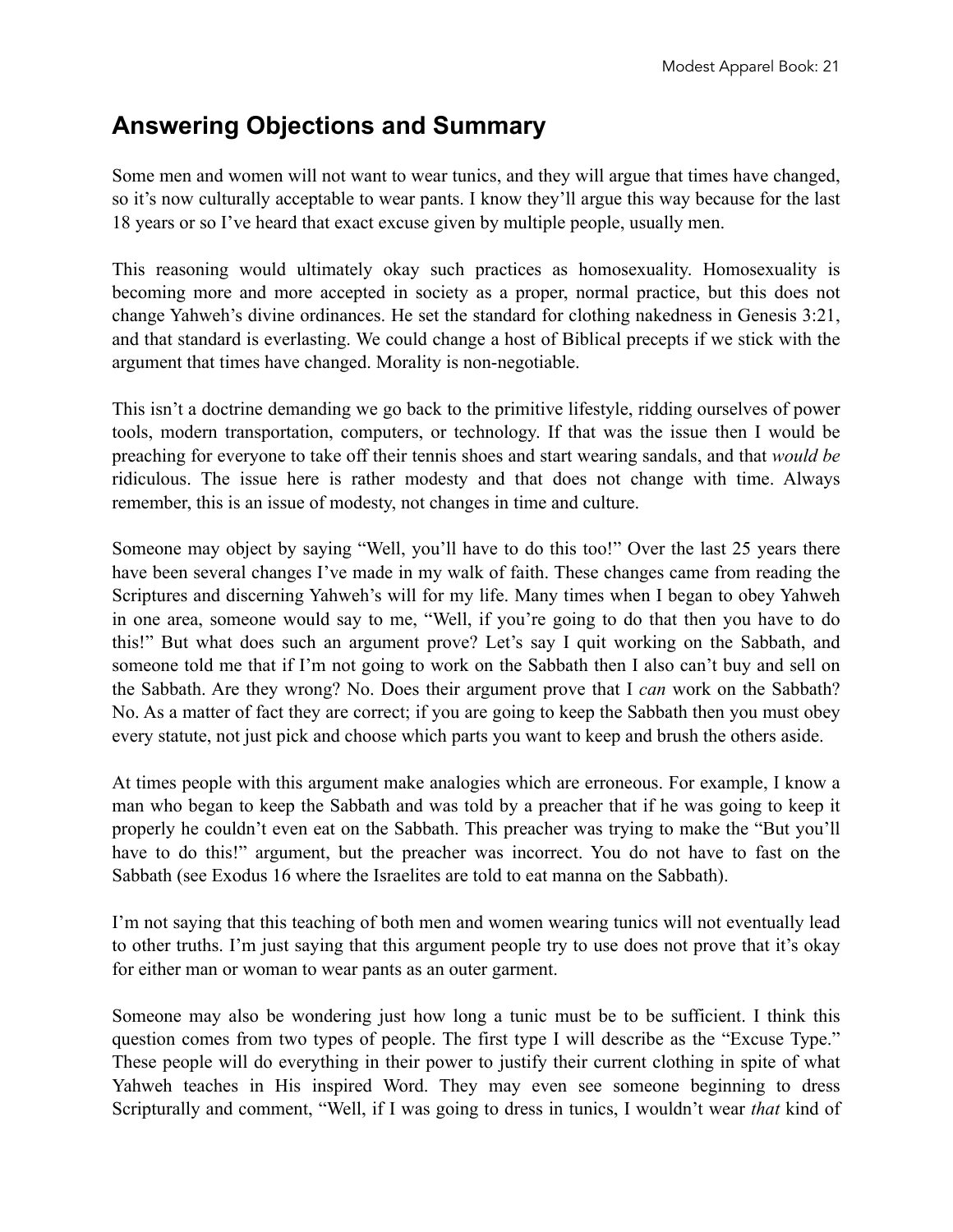## **Answering Objections and Summary**

Some men and women will not want to wear tunics, and they will argue that times have changed, so it's now culturally acceptable to wear pants. I know they'll argue this way because for the last 18 years or so I've heard that exact excuse given by multiple people, usually men.

This reasoning would ultimately okay such practices as homosexuality. Homosexuality is becoming more and more accepted in society as a proper, normal practice, but this does not change Yahweh's divine ordinances. He set the standard for clothing nakedness in Genesis 3:21, and that standard is everlasting. We could change a host of Biblical precepts if we stick with the argument that times have changed. Morality is non-negotiable.

This isn't a doctrine demanding we go back to the primitive lifestyle, ridding ourselves of power tools, modern transportation, computers, or technology. If that was the issue then I would be preaching for everyone to take off their tennis shoes and start wearing sandals, and that *would be* ridiculous. The issue here is rather modesty and that does not change with time. Always remember, this is an issue of modesty, not changes in time and culture.

Someone may object by saying "Well, you'll have to do this too!" Over the last 25 years there have been several changes I've made in my walk of faith. These changes came from reading the Scriptures and discerning Yahweh's will for my life. Many times when I began to obey Yahweh in one area, someone would say to me, "Well, if you're going to do that then you have to do this!" But what does such an argument prove? Let's say I quit working on the Sabbath, and someone told me that if I'm not going to work on the Sabbath then I also can't buy and sell on the Sabbath. Are they wrong? No. Does their argument prove that I *can* work on the Sabbath? No. As a matter of fact they are correct; if you are going to keep the Sabbath then you must obey every statute, not just pick and choose which parts you want to keep and brush the others aside.

At times people with this argument make analogies which are erroneous. For example, I know a man who began to keep the Sabbath and was told by a preacher that if he was going to keep it properly he couldn't even eat on the Sabbath. This preacher was trying to make the "But you'll have to do this!" argument, but the preacher was incorrect. You do not have to fast on the Sabbath (see Exodus 16 where the Israelites are told to eat manna on the Sabbath).

I'm not saying that this teaching of both men and women wearing tunics will not eventually lead to other truths. I'm just saying that this argument people try to use does not prove that it's okay for either man or woman to wear pants as an outer garment.

Someone may also be wondering just how long a tunic must be to be sufficient. I think this question comes from two types of people. The first type I will describe as the "Excuse Type." These people will do everything in their power to justify their current clothing in spite of what Yahweh teaches in His inspired Word. They may even see someone beginning to dress Scripturally and comment, "Well, if I was going to dress in tunics, I wouldn't wear *that* kind of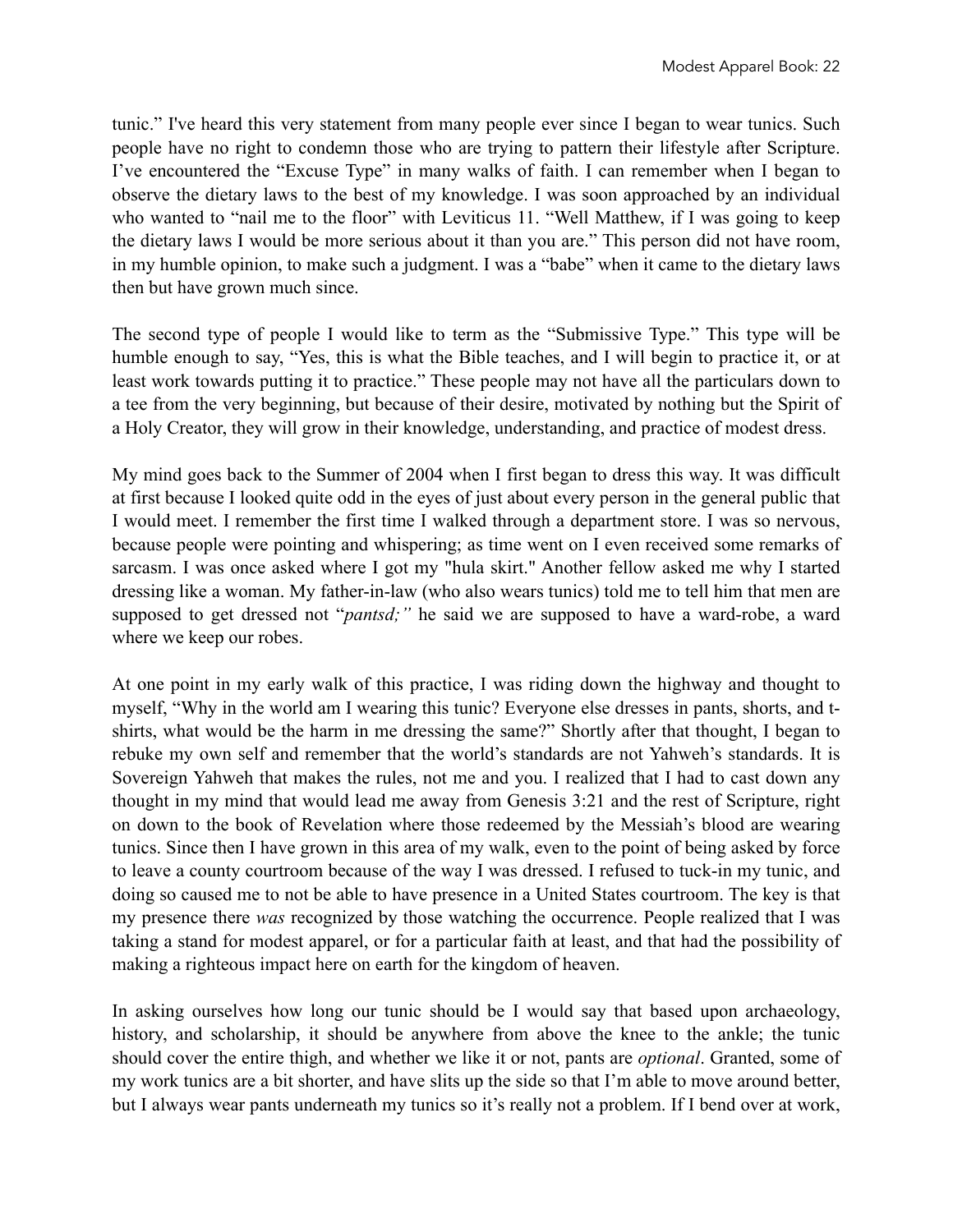tunic." I've heard this very statement from many people ever since I began to wear tunics. Such people have no right to condemn those who are trying to pattern their lifestyle after Scripture. I've encountered the "Excuse Type" in many walks of faith. I can remember when I began to observe the dietary laws to the best of my knowledge. I was soon approached by an individual who wanted to "nail me to the floor" with Leviticus 11. "Well Matthew, if I was going to keep the dietary laws I would be more serious about it than you are." This person did not have room, in my humble opinion, to make such a judgment. I was a "babe" when it came to the dietary laws then but have grown much since.

The second type of people I would like to term as the "Submissive Type." This type will be humble enough to say, "Yes, this is what the Bible teaches, and I will begin to practice it, or at least work towards putting it to practice." These people may not have all the particulars down to a tee from the very beginning, but because of their desire, motivated by nothing but the Spirit of a Holy Creator, they will grow in their knowledge, understanding, and practice of modest dress.

My mind goes back to the Summer of 2004 when I first began to dress this way. It was difficult at first because I looked quite odd in the eyes of just about every person in the general public that I would meet. I remember the first time I walked through a department store. I was so nervous, because people were pointing and whispering; as time went on I even received some remarks of sarcasm. I was once asked where I got my "hula skirt." Another fellow asked me why I started dressing like a woman. My father-in-law (who also wears tunics) told me to tell him that men are supposed to get dressed not "*pantsd;"* he said we are supposed to have a ward-robe, a ward where we keep our robes.

At one point in my early walk of this practice, I was riding down the highway and thought to myself, "Why in the world am I wearing this tunic? Everyone else dresses in pants, shorts, and tshirts, what would be the harm in me dressing the same?" Shortly after that thought, I began to rebuke my own self and remember that the world's standards are not Yahweh's standards. It is Sovereign Yahweh that makes the rules, not me and you. I realized that I had to cast down any thought in my mind that would lead me away from Genesis 3:21 and the rest of Scripture, right on down to the book of Revelation where those redeemed by the Messiah's blood are wearing tunics. Since then I have grown in this area of my walk, even to the point of being asked by force to leave a county courtroom because of the way I was dressed. I refused to tuck-in my tunic, and doing so caused me to not be able to have presence in a United States courtroom. The key is that my presence there *was* recognized by those watching the occurrence. People realized that I was taking a stand for modest apparel, or for a particular faith at least, and that had the possibility of making a righteous impact here on earth for the kingdom of heaven.

In asking ourselves how long our tunic should be I would say that based upon archaeology, history, and scholarship, it should be anywhere from above the knee to the ankle; the tunic should cover the entire thigh, and whether we like it or not, pants are *optional*. Granted, some of my work tunics are a bit shorter, and have slits up the side so that I'm able to move around better, but I always wear pants underneath my tunics so it's really not a problem. If I bend over at work,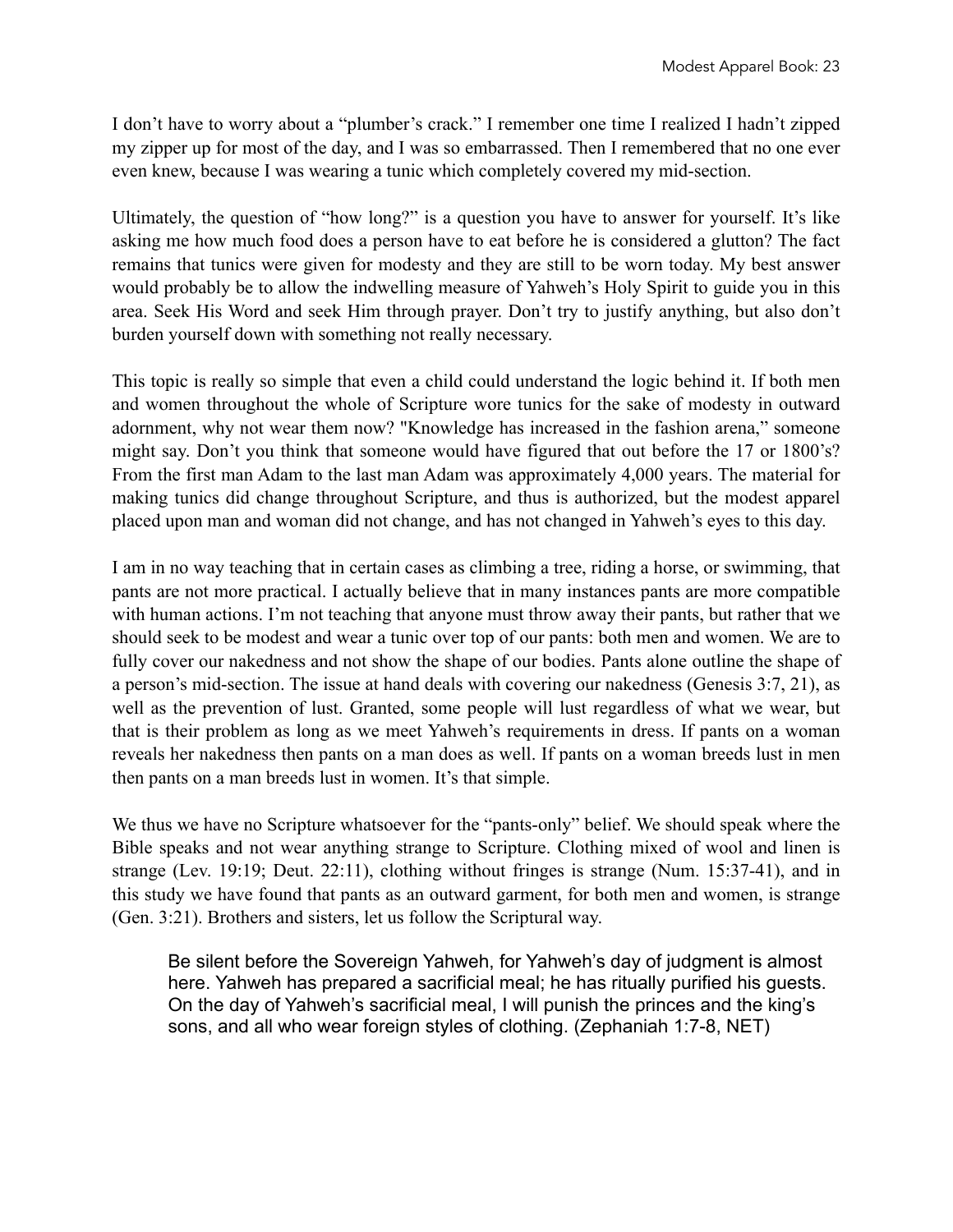I don't have to worry about a "plumber's crack." I remember one time I realized I hadn't zipped my zipper up for most of the day, and I was so embarrassed. Then I remembered that no one ever even knew, because I was wearing a tunic which completely covered my mid-section.

Ultimately, the question of "how long?" is a question you have to answer for yourself. It's like asking me how much food does a person have to eat before he is considered a glutton? The fact remains that tunics were given for modesty and they are still to be worn today. My best answer would probably be to allow the indwelling measure of Yahweh's Holy Spirit to guide you in this area. Seek His Word and seek Him through prayer. Don't try to justify anything, but also don't burden yourself down with something not really necessary.

This topic is really so simple that even a child could understand the logic behind it. If both men and women throughout the whole of Scripture wore tunics for the sake of modesty in outward adornment, why not wear them now? "Knowledge has increased in the fashion arena," someone might say. Don't you think that someone would have figured that out before the 17 or 1800's? From the first man Adam to the last man Adam was approximately 4,000 years. The material for making tunics did change throughout Scripture, and thus is authorized, but the modest apparel placed upon man and woman did not change, and has not changed in Yahweh's eyes to this day.

I am in no way teaching that in certain cases as climbing a tree, riding a horse, or swimming, that pants are not more practical. I actually believe that in many instances pants are more compatible with human actions. I'm not teaching that anyone must throw away their pants, but rather that we should seek to be modest and wear a tunic over top of our pants: both men and women. We are to fully cover our nakedness and not show the shape of our bodies. Pants alone outline the shape of a person's mid-section. The issue at hand deals with covering our nakedness (Genesis 3:7, 21), as well as the prevention of lust. Granted, some people will lust regardless of what we wear, but that is their problem as long as we meet Yahweh's requirements in dress. If pants on a woman reveals her nakedness then pants on a man does as well. If pants on a woman breeds lust in men then pants on a man breeds lust in women. It's that simple.

We thus we have no Scripture whatsoever for the "pants-only" belief. We should speak where the Bible speaks and not wear anything strange to Scripture. Clothing mixed of wool and linen is strange (Lev. 19:19; Deut. 22:11), clothing without fringes is strange (Num. 15:37-41), and in this study we have found that pants as an outward garment, for both men and women, is strange (Gen. 3:21). Brothers and sisters, let us follow the Scriptural way.

Be silent before the Sovereign Yahweh, for Yahweh's day of judgment is almost here. Yahweh has prepared a sacrificial meal; he has ritually purified his guests. On the day of Yahweh's sacrificial meal, I will punish the princes and the king's sons, and all who wear foreign styles of clothing. (Zephaniah 1:7-8, NET)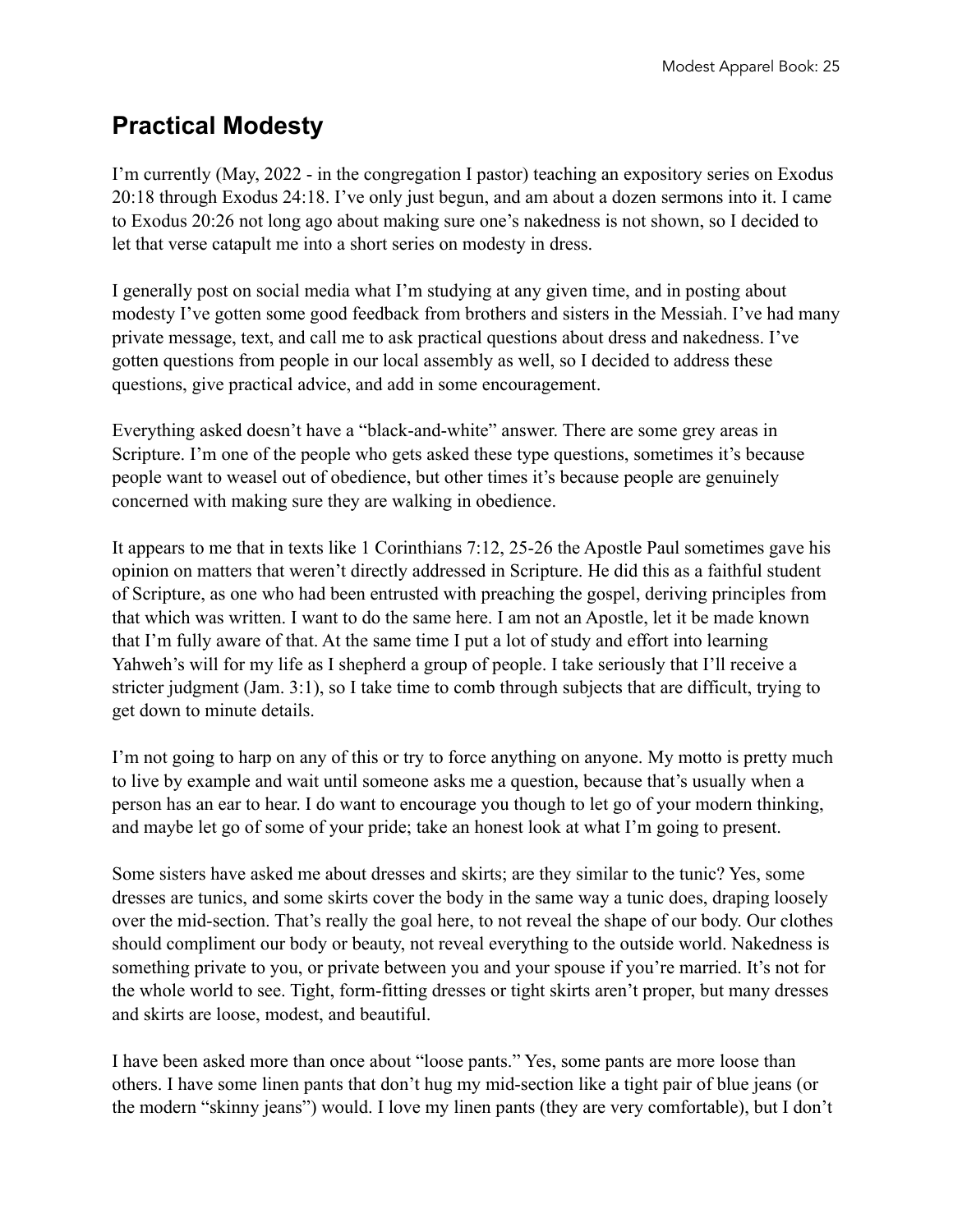# **Practical Modesty**

I'm currently (May, 2022 - in the congregation I pastor) teaching an expository series on Exodus 20:18 through Exodus 24:18. I've only just begun, and am about a dozen sermons into it. I came to Exodus 20:26 not long ago about making sure one's nakedness is not shown, so I decided to let that verse catapult me into a short series on modesty in dress.

I generally post on social media what I'm studying at any given time, and in posting about modesty I've gotten some good feedback from brothers and sisters in the Messiah. I've had many private message, text, and call me to ask practical questions about dress and nakedness. I've gotten questions from people in our local assembly as well, so I decided to address these questions, give practical advice, and add in some encouragement.

Everything asked doesn't have a "black-and-white" answer. There are some grey areas in Scripture. I'm one of the people who gets asked these type questions, sometimes it's because people want to weasel out of obedience, but other times it's because people are genuinely concerned with making sure they are walking in obedience.

It appears to me that in texts like 1 Corinthians 7:12, 25-26 the Apostle Paul sometimes gave his opinion on matters that weren't directly addressed in Scripture. He did this as a faithful student of Scripture, as one who had been entrusted with preaching the gospel, deriving principles from that which was written. I want to do the same here. I am not an Apostle, let it be made known that I'm fully aware of that. At the same time I put a lot of study and effort into learning Yahweh's will for my life as I shepherd a group of people. I take seriously that I'll receive a stricter judgment (Jam. 3:1), so I take time to comb through subjects that are difficult, trying to get down to minute details.

I'm not going to harp on any of this or try to force anything on anyone. My motto is pretty much to live by example and wait until someone asks me a question, because that's usually when a person has an ear to hear. I do want to encourage you though to let go of your modern thinking, and maybe let go of some of your pride; take an honest look at what I'm going to present.

Some sisters have asked me about dresses and skirts; are they similar to the tunic? Yes, some dresses are tunics, and some skirts cover the body in the same way a tunic does, draping loosely over the mid-section. That's really the goal here, to not reveal the shape of our body. Our clothes should compliment our body or beauty, not reveal everything to the outside world. Nakedness is something private to you, or private between you and your spouse if you're married. It's not for the whole world to see. Tight, form-fitting dresses or tight skirts aren't proper, but many dresses and skirts are loose, modest, and beautiful.

I have been asked more than once about "loose pants." Yes, some pants are more loose than others. I have some linen pants that don't hug my mid-section like a tight pair of blue jeans (or the modern "skinny jeans") would. I love my linen pants (they are very comfortable), but I don't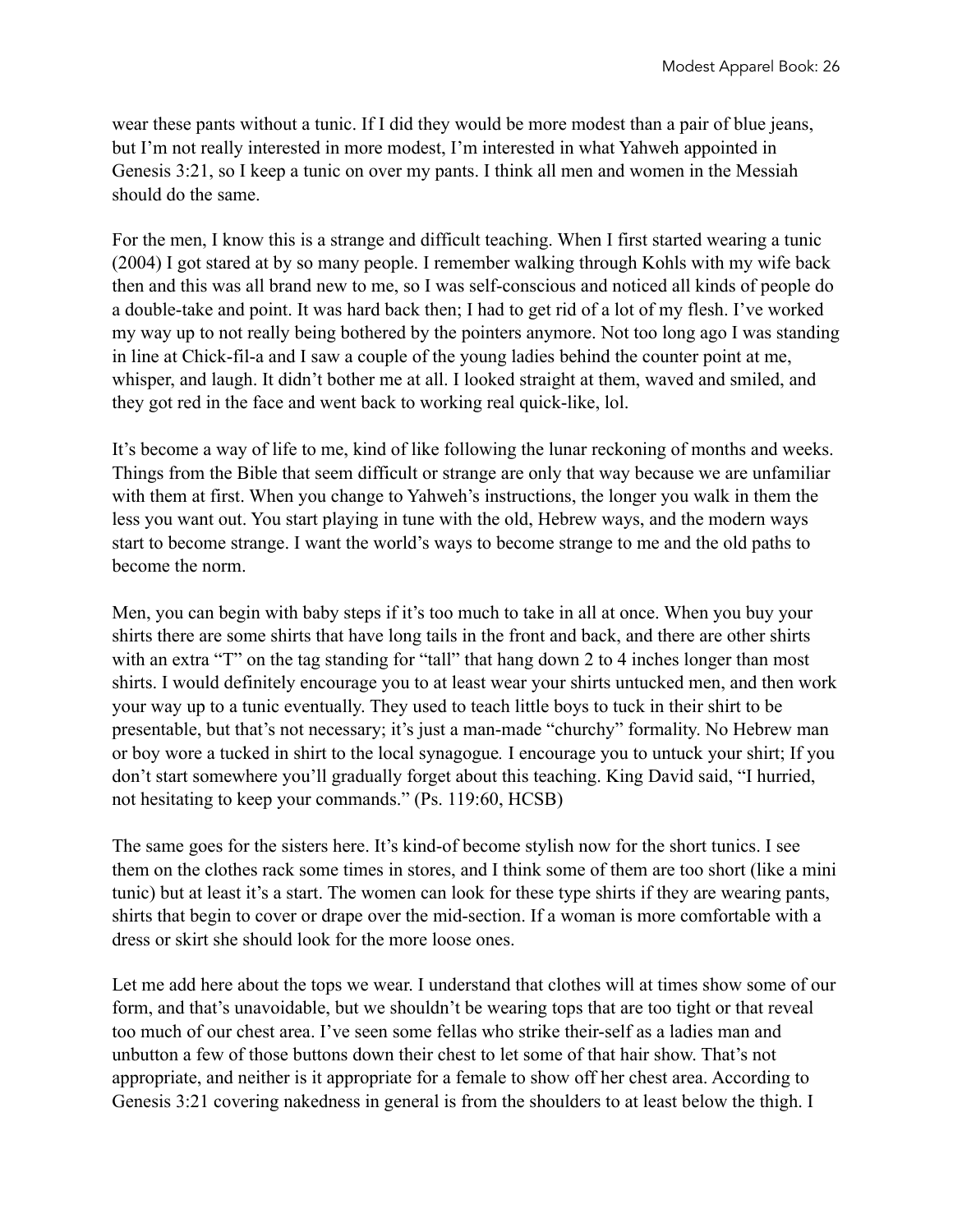wear these pants without a tunic. If I did they would be more modest than a pair of blue jeans, but I'm not really interested in more modest, I'm interested in what Yahweh appointed in Genesis 3:21, so I keep a tunic on over my pants. I think all men and women in the Messiah should do the same.

For the men, I know this is a strange and difficult teaching. When I first started wearing a tunic (2004) I got stared at by so many people. I remember walking through Kohls with my wife back then and this was all brand new to me, so I was self-conscious and noticed all kinds of people do a double-take and point. It was hard back then; I had to get rid of a lot of my flesh. I've worked my way up to not really being bothered by the pointers anymore. Not too long ago I was standing in line at Chick-fil-a and I saw a couple of the young ladies behind the counter point at me, whisper, and laugh. It didn't bother me at all. I looked straight at them, waved and smiled, and they got red in the face and went back to working real quick-like, lol.

It's become a way of life to me, kind of like following the lunar reckoning of months and weeks. Things from the Bible that seem difficult or strange are only that way because we are unfamiliar with them at first. When you change to Yahweh's instructions, the longer you walk in them the less you want out. You start playing in tune with the old, Hebrew ways, and the modern ways start to become strange. I want the world's ways to become strange to me and the old paths to become the norm.

Men, you can begin with baby steps if it's too much to take in all at once. When you buy your shirts there are some shirts that have long tails in the front and back, and there are other shirts with an extra "T" on the tag standing for "tall" that hang down 2 to 4 inches longer than most shirts. I would definitely encourage you to at least wear your shirts untucked men, and then work your way up to a tunic eventually. They used to teach little boys to tuck in their shirt to be presentable, but that's not necessary; it's just a man-made "churchy" formality. No Hebrew man or boy wore a tucked in shirt to the local synagogue*.* I encourage you to untuck your shirt; If you don't start somewhere you'll gradually forget about this teaching. King David said, "I hurried, not hesitating to keep your commands." (Ps. 119:60, HCSB)

The same goes for the sisters here. It's kind-of become stylish now for the short tunics. I see them on the clothes rack some times in stores, and I think some of them are too short (like a mini tunic) but at least it's a start. The women can look for these type shirts if they are wearing pants, shirts that begin to cover or drape over the mid-section. If a woman is more comfortable with a dress or skirt she should look for the more loose ones.

Let me add here about the tops we wear. I understand that clothes will at times show some of our form, and that's unavoidable, but we shouldn't be wearing tops that are too tight or that reveal too much of our chest area. I've seen some fellas who strike their-self as a ladies man and unbutton a few of those buttons down their chest to let some of that hair show. That's not appropriate, and neither is it appropriate for a female to show off her chest area. According to Genesis 3:21 covering nakedness in general is from the shoulders to at least below the thigh. I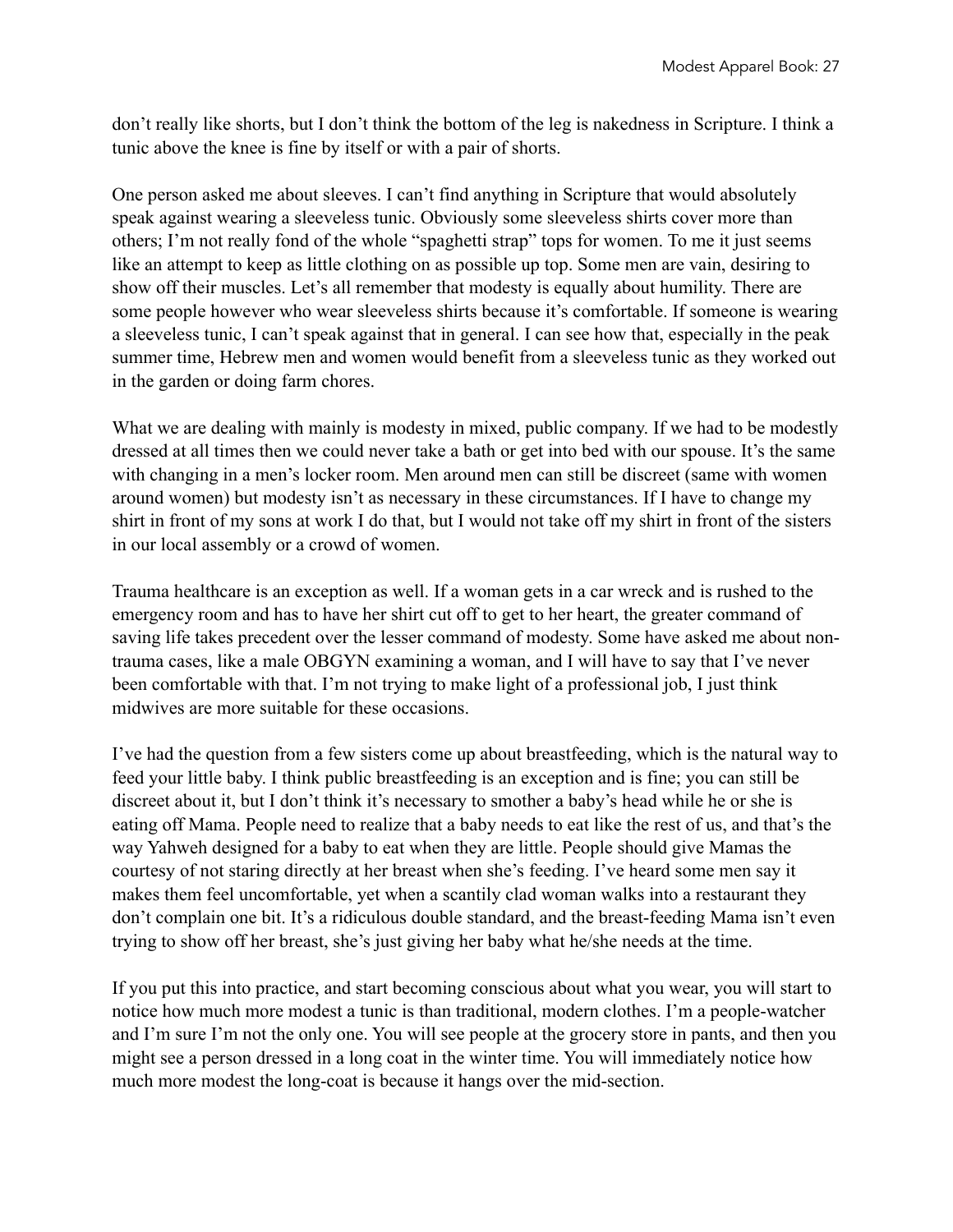don't really like shorts, but I don't think the bottom of the leg is nakedness in Scripture. I think a tunic above the knee is fine by itself or with a pair of shorts.

One person asked me about sleeves. I can't find anything in Scripture that would absolutely speak against wearing a sleeveless tunic. Obviously some sleeveless shirts cover more than others; I'm not really fond of the whole "spaghetti strap" tops for women. To me it just seems like an attempt to keep as little clothing on as possible up top. Some men are vain, desiring to show off their muscles. Let's all remember that modesty is equally about humility. There are some people however who wear sleeveless shirts because it's comfortable. If someone is wearing a sleeveless tunic, I can't speak against that in general. I can see how that, especially in the peak summer time, Hebrew men and women would benefit from a sleeveless tunic as they worked out in the garden or doing farm chores.

What we are dealing with mainly is modesty in mixed, public company. If we had to be modestly dressed at all times then we could never take a bath or get into bed with our spouse. It's the same with changing in a men's locker room. Men around men can still be discreet (same with women around women) but modesty isn't as necessary in these circumstances. If I have to change my shirt in front of my sons at work I do that, but I would not take off my shirt in front of the sisters in our local assembly or a crowd of women.

Trauma healthcare is an exception as well. If a woman gets in a car wreck and is rushed to the emergency room and has to have her shirt cut off to get to her heart, the greater command of saving life takes precedent over the lesser command of modesty. Some have asked me about nontrauma cases, like a male OBGYN examining a woman, and I will have to say that I've never been comfortable with that. I'm not trying to make light of a professional job, I just think midwives are more suitable for these occasions.

I've had the question from a few sisters come up about breastfeeding, which is the natural way to feed your little baby. I think public breastfeeding is an exception and is fine; you can still be discreet about it, but I don't think it's necessary to smother a baby's head while he or she is eating off Mama. People need to realize that a baby needs to eat like the rest of us, and that's the way Yahweh designed for a baby to eat when they are little. People should give Mamas the courtesy of not staring directly at her breast when she's feeding. I've heard some men say it makes them feel uncomfortable, yet when a scantily clad woman walks into a restaurant they don't complain one bit. It's a ridiculous double standard, and the breast-feeding Mama isn't even trying to show off her breast, she's just giving her baby what he/she needs at the time.

If you put this into practice, and start becoming conscious about what you wear, you will start to notice how much more modest a tunic is than traditional, modern clothes. I'm a people-watcher and I'm sure I'm not the only one. You will see people at the grocery store in pants, and then you might see a person dressed in a long coat in the winter time. You will immediately notice how much more modest the long-coat is because it hangs over the mid-section.